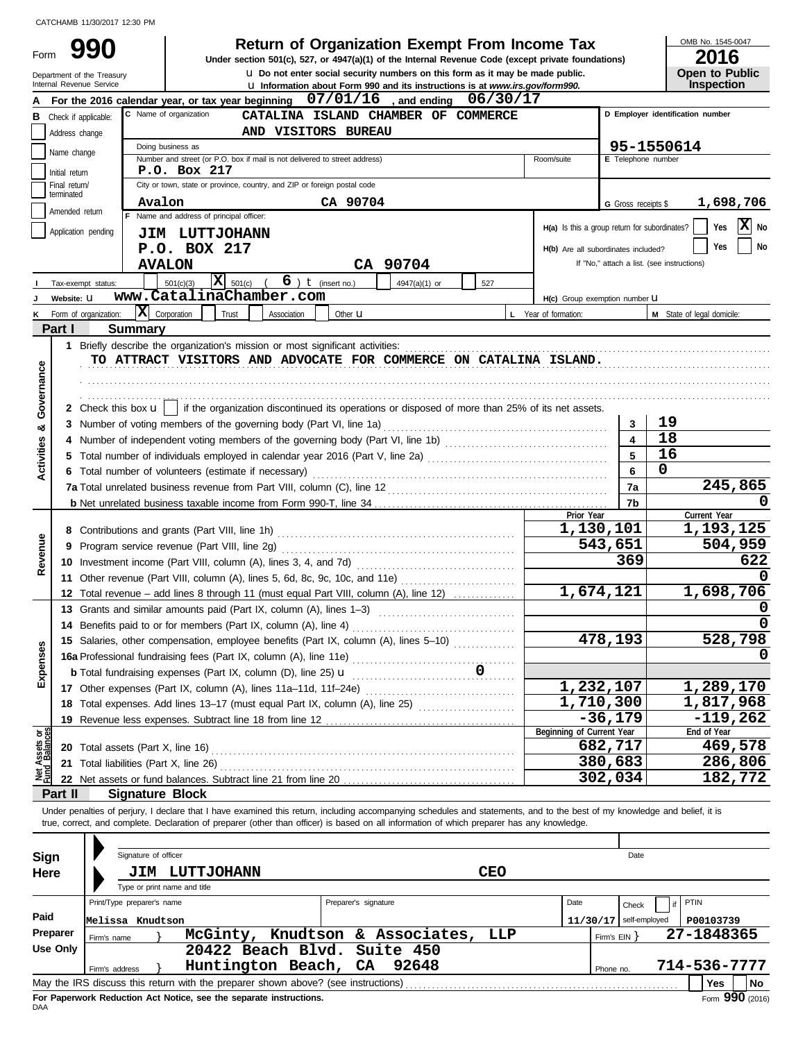Form

**u** Do not enter social security numbers on this form as it may be made public. **990 2016 2016 2016 Depending Solution State of Organization Exempt From Income Tax 2016** 

OMB No. 1545-0047

| ZUIU                  |
|-----------------------|
| <b>Open to Public</b> |
| <b>Inspection</b>     |

|                                | Department of the Treasury<br>Internal Revenue Service |                                     |                                                                                                                                                                            |                        | <b>u</b> Do not enter social security numbers on this form as it may be made public. |            |                                               |                          | <b>Open to Public</b>                      |    |
|--------------------------------|--------------------------------------------------------|-------------------------------------|----------------------------------------------------------------------------------------------------------------------------------------------------------------------------|------------------------|--------------------------------------------------------------------------------------|------------|-----------------------------------------------|--------------------------|--------------------------------------------|----|
|                                |                                                        |                                     | For the 2016 calendar year, or tax year beginning $07/01/16$ , and ending $06/30/17$                                                                                       |                        | <b>u</b> Information about Form 990 and its instructions is at www.irs.gov/form990.  |            |                                               |                          | <b>Inspection</b>                          |    |
|                                | <b>B</b> Check if applicable:                          |                                     | C Name of organization                                                                                                                                                     |                        | CATALINA ISLAND CHAMBER OF COMMERCE                                                  |            |                                               |                          | D Employer identification number           |    |
|                                | Address change                                         |                                     | AND VISITORS BUREAU                                                                                                                                                        |                        |                                                                                      |            |                                               |                          |                                            |    |
|                                |                                                        |                                     | Doing business as                                                                                                                                                          |                        |                                                                                      |            |                                               |                          | 95-1550614                                 |    |
|                                | Name change                                            |                                     | Number and street (or P.O. box if mail is not delivered to street address)                                                                                                 |                        |                                                                                      |            | Room/suite                                    | E Telephone number       |                                            |    |
|                                | Initial return                                         |                                     | P.O. Box 217                                                                                                                                                               |                        |                                                                                      |            |                                               |                          |                                            |    |
|                                | Final return/<br>terminated                            |                                     | City or town, state or province, country, and ZIP or foreign postal code                                                                                                   |                        |                                                                                      |            |                                               |                          |                                            |    |
|                                | Amended return                                         | Avalon                              |                                                                                                                                                                            | CA 90704               |                                                                                      |            |                                               | G Gross receipts \$      | 1,698,706                                  |    |
|                                |                                                        |                                     | Name and address of principal officer:                                                                                                                                     |                        |                                                                                      |            | H(a) Is this a group return for subordinates? |                          | X No<br>Yes                                |    |
|                                | Application pending                                    |                                     | <b>JIM LUTTJOHANN</b>                                                                                                                                                      |                        |                                                                                      |            |                                               |                          |                                            |    |
|                                |                                                        |                                     | P.O. BOX 217                                                                                                                                                               |                        |                                                                                      |            | H(b) Are all subordinates included?           |                          | Yes                                        | No |
|                                |                                                        |                                     | <b>AVALON</b>                                                                                                                                                              |                        | CA 90704                                                                             |            |                                               |                          | If "No," attach a list. (see instructions) |    |
|                                | Tax-exempt status:                                     |                                     | $\overline{\mathbf{X}}$ 501(c)<br>501(c)(3)                                                                                                                                | $6$ ) $t$ (insert no.) | 4947(a)(1) or                                                                        | 527        |                                               |                          |                                            |    |
|                                | Website: U                                             |                                     | www.CatalinaChamber.com                                                                                                                                                    |                        |                                                                                      |            | H(c) Group exemption number U                 |                          |                                            |    |
| ĸ                              | Form of organization:                                  |                                     | $ \mathbf{\overline{X}} $ Corporation<br>Trust<br>Association                                                                                                              | Other $\mathbf u$      |                                                                                      |            | L Year of formation:                          |                          | M State of legal domicile:                 |    |
|                                | Part I                                                 | <b>Summary</b>                      |                                                                                                                                                                            |                        |                                                                                      |            |                                               |                          |                                            |    |
|                                |                                                        |                                     | 1 Briefly describe the organization's mission or most significant activities:<br>TO ATTRACT VISITORS AND ADVOCATE FOR COMMERCE ON CATALINA ISLAND.                         |                        |                                                                                      |            |                                               |                          |                                            |    |
|                                |                                                        |                                     |                                                                                                                                                                            |                        |                                                                                      |            |                                               |                          |                                            |    |
| Governance                     |                                                        |                                     |                                                                                                                                                                            |                        |                                                                                      |            |                                               |                          |                                            |    |
|                                |                                                        |                                     | 2 Check this box $\mathbf{u}$   if the organization discontinued its operations or disposed of more than 25% of its net assets.                                            |                        |                                                                                      |            |                                               |                          |                                            |    |
|                                | 3                                                      |                                     | Number of voting members of the governing body (Part VI, line 1a)                                                                                                          |                        |                                                                                      |            |                                               | 3                        | 19                                         |    |
| න්                             | 4                                                      |                                     |                                                                                                                                                                            |                        |                                                                                      |            |                                               | $\blacktriangle$         | 18                                         |    |
| <b>Activities</b>              | 5                                                      |                                     |                                                                                                                                                                            |                        |                                                                                      |            |                                               | 5                        | 16                                         |    |
|                                |                                                        |                                     | Total number of volunteers (estimate if necessary)                                                                                                                         |                        |                                                                                      |            |                                               | 6                        | $\mathbf 0$                                |    |
|                                |                                                        |                                     |                                                                                                                                                                            |                        |                                                                                      |            |                                               | 7a                       | 245,865                                    |    |
|                                |                                                        |                                     |                                                                                                                                                                            |                        |                                                                                      |            |                                               | 7b                       |                                            |    |
|                                |                                                        |                                     |                                                                                                                                                                            |                        |                                                                                      |            | Prior Year                                    |                          | Current Year                               |    |
|                                |                                                        |                                     |                                                                                                                                                                            |                        |                                                                                      | 1,130,101  | 1,193,125                                     |                          |                                            |    |
| Revenue                        | 9                                                      |                                     |                                                                                                                                                                            |                        |                                                                                      |            |                                               | 543,651                  | 504,959                                    |    |
|                                |                                                        |                                     |                                                                                                                                                                            |                        |                                                                                      |            |                                               | 369                      | 622                                        |    |
|                                |                                                        |                                     | 11 Other revenue (Part VIII, column (A), lines 5, 6d, 8c, 9c, 10c, and 11e)                                                                                                |                        |                                                                                      |            |                                               |                          |                                            |    |
|                                |                                                        |                                     | 12 Total revenue - add lines 8 through 11 (must equal Part VIII, column (A), line 12)                                                                                      |                        |                                                                                      |            |                                               | 1,674,121                | 1,698,706                                  |    |
|                                |                                                        |                                     | 13 Grants and similar amounts paid (Part IX, column (A), lines 1-3)                                                                                                        |                        |                                                                                      |            |                                               |                          |                                            |    |
|                                |                                                        |                                     | 14 Benefits paid to or for members (Part IX, column (A), line 4)                                                                                                           |                        |                                                                                      |            |                                               |                          |                                            |    |
| s<br>ğ,                        |                                                        |                                     | 15 Salaries, other compensation, employee benefits (Part IX, column (A), lines 5-10)                                                                                       |                        |                                                                                      |            |                                               | 478,193                  | 528,798                                    |    |
|                                |                                                        |                                     |                                                                                                                                                                            |                        |                                                                                      |            |                                               |                          |                                            |    |
| Expens                         |                                                        |                                     |                                                                                                                                                                            |                        |                                                                                      |            |                                               |                          |                                            |    |
|                                |                                                        |                                     | 17 Other expenses (Part IX, column (A), lines 11a-11d, 11f-24e)                                                                                                            |                        |                                                                                      |            |                                               | 1,232,107<br>1,710,300   | 1,289,170<br>1,817,968                     |    |
|                                |                                                        |                                     | 18 Total expenses. Add lines 13-17 (must equal Part IX, column (A), line 25) [[[[[[[[[[[[[[[[[[[[[[[[[[[[[[[[                                                              |                        |                                                                                      |            |                                               | $-36,179$                | $-119,262$                                 |    |
|                                |                                                        |                                     | 19 Revenue less expenses. Subtract line 18 from line 12                                                                                                                    |                        |                                                                                      |            | Beginning of Current Year                     |                          | End of Year                                |    |
|                                |                                                        |                                     |                                                                                                                                                                            |                        |                                                                                      |            |                                               | 682,717                  | 469,578                                    |    |
| Net Assets or<br>Fund Balances | 21                                                     | Total liabilities (Part X, line 26) |                                                                                                                                                                            |                        |                                                                                      |            |                                               | 380,683                  | 286,806                                    |    |
|                                |                                                        |                                     |                                                                                                                                                                            |                        |                                                                                      |            |                                               | 302,034                  | 182,772                                    |    |
|                                | Part II                                                | <b>Signature Block</b>              |                                                                                                                                                                            |                        |                                                                                      |            |                                               |                          |                                            |    |
|                                |                                                        |                                     | Under penalties of perjury, I declare that I have examined this return, including accompanying schedules and statements, and to the best of my knowledge and belief, it is |                        |                                                                                      |            |                                               |                          |                                            |    |
|                                |                                                        |                                     | true, correct, and complete. Declaration of preparer (other than officer) is based on all information of which preparer has any knowledge.                                 |                        |                                                                                      |            |                                               |                          |                                            |    |
|                                |                                                        |                                     |                                                                                                                                                                            |                        |                                                                                      |            |                                               |                          |                                            |    |
| Sign                           |                                                        | Signature of officer                |                                                                                                                                                                            |                        |                                                                                      |            |                                               | Date                     |                                            |    |
| Here                           |                                                        |                                     | <b>JIM LUTTJOHANN</b>                                                                                                                                                      |                        |                                                                                      | <b>CEO</b> |                                               |                          |                                            |    |
|                                |                                                        |                                     | Type or print name and title                                                                                                                                               |                        |                                                                                      |            |                                               |                          |                                            |    |
| Paid                           |                                                        | Print/Type preparer's name          |                                                                                                                                                                            | Preparer's signature   |                                                                                      |            | Date                                          | Check                    | PTIN<br>if                                 |    |
|                                | Preparer                                               | Melissa Knudtson                    |                                                                                                                                                                            |                        |                                                                                      |            |                                               | $11/30/17$ self-employed | P00103739                                  |    |
|                                | <b>Use Only</b>                                        | Firm's name                         | McGinty, Knudtson & Associates,<br>20422 Beach Blvd.                                                                                                                       |                        | Suite 450                                                                            | LLP        |                                               | Firm's $EIN$ }           | 27-1848365                                 |    |
|                                |                                                        |                                     | Huntington Beach,                                                                                                                                                          | CA                     | 92648                                                                                |            |                                               |                          | 714-536-7777                               |    |
|                                |                                                        | Firm's address                      | May the IRS discuss this return with the preparer shown above? (see instructions)                                                                                          |                        |                                                                                      |            |                                               | Phone no.                | Yes<br>No                                  |    |
|                                |                                                        |                                     |                                                                                                                                                                            |                        |                                                                                      |            |                                               |                          |                                            |    |

| Sign     |                                                                                       | Signature of officer       |                                                                                   |  |                      |                        |     |                          | Date         |  |                    |  |
|----------|---------------------------------------------------------------------------------------|----------------------------|-----------------------------------------------------------------------------------|--|----------------------|------------------------|-----|--------------------------|--------------|--|--------------------|--|
| Here     |                                                                                       | JIM                        | LUTTJOHANN<br>Type or print name and title                                        |  |                      | <b>CEO</b>             |     |                          |              |  |                    |  |
|          |                                                                                       | Print/Type preparer's name |                                                                                   |  | Preparer's signature |                        |     | Date                     | Check        |  | PTIN               |  |
| Paid     |                                                                                       | Melissa Knudtson           |                                                                                   |  |                      |                        |     | $11/30/17$ self-employed |              |  | P00103739          |  |
| Preparer | Firm's name                                                                           |                            | McGinty,                                                                          |  |                      | Knudtson & Associates, | LLP |                          | Firm's $EIN$ |  | 27-1848365         |  |
| Use Only |                                                                                       |                            | 20422 Beach Blvd. Suite 450                                                       |  |                      |                        |     |                          |              |  |                    |  |
|          | Firm's address                                                                        |                            | Huntington Beach, CA                                                              |  |                      | 92648                  |     | Phone no.                |              |  | 714-536-7777       |  |
|          |                                                                                       |                            | May the IRS discuss this return with the preparer shown above? (see instructions) |  |                      |                        |     |                          |              |  | l No<br><b>Yes</b> |  |
| DAA      | Form 990 (2016)<br>For Paperwork Reduction Act Notice, see the separate instructions. |                            |                                                                                   |  |                      |                        |     |                          |              |  |                    |  |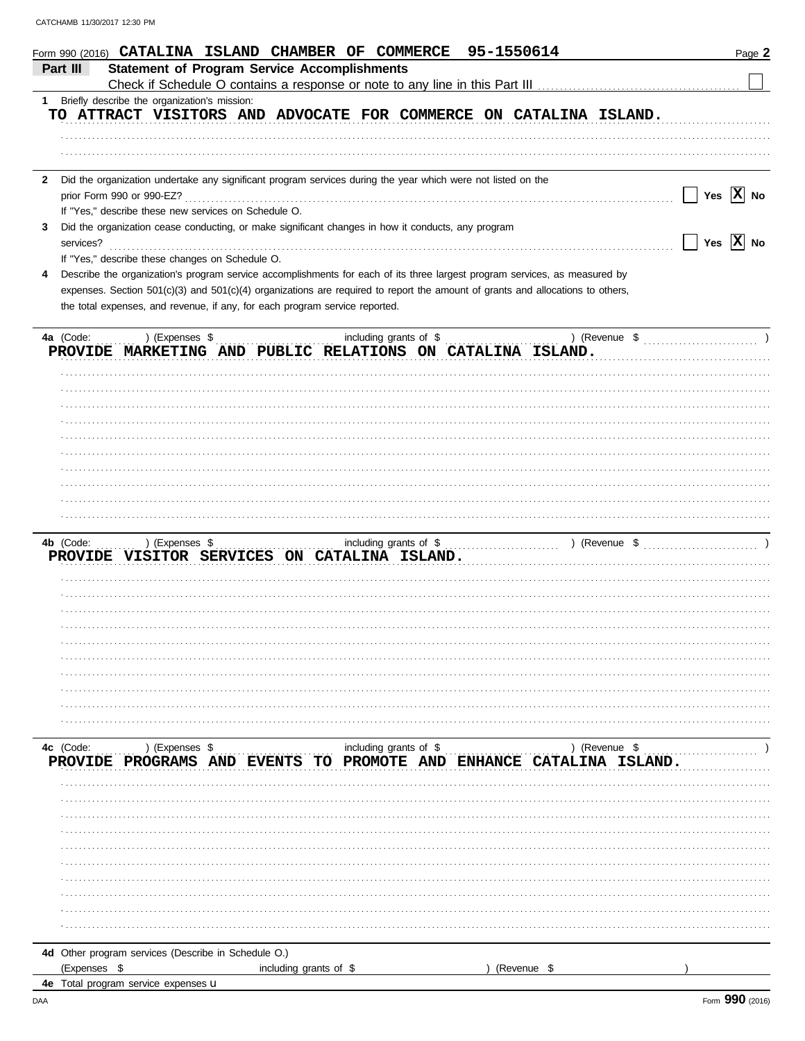| Form 990 (2016) CATALINA ISLAND CHAMBER OF COMMERCE                 |                                                                                                                                | 95-1550614                              | Page 2       |
|---------------------------------------------------------------------|--------------------------------------------------------------------------------------------------------------------------------|-----------------------------------------|--------------|
| Part III                                                            | <b>Statement of Program Service Accomplishments</b>                                                                            |                                         |              |
|                                                                     |                                                                                                                                |                                         |              |
| 1 Briefly describe the organization's mission:                      |                                                                                                                                |                                         |              |
|                                                                     | TO ATTRACT VISITORS AND ADVOCATE FOR COMMERCE ON CATALINA ISLAND.                                                              |                                         |              |
|                                                                     |                                                                                                                                |                                         |              |
|                                                                     |                                                                                                                                |                                         |              |
|                                                                     |                                                                                                                                |                                         |              |
| $\mathbf{2}$                                                        | Did the organization undertake any significant program services during the year which were not listed on the                   |                                         |              |
| prior Form 990 or 990-EZ?                                           |                                                                                                                                |                                         | Yes $ X $ No |
| If "Yes," describe these new services on Schedule O.                |                                                                                                                                |                                         |              |
| 3                                                                   | Did the organization cease conducting, or make significant changes in how it conducts, any program                             |                                         |              |
| services?                                                           |                                                                                                                                |                                         | Yes $X$ No   |
| If "Yes," describe these changes on Schedule O.                     |                                                                                                                                |                                         |              |
| 4                                                                   | Describe the organization's program service accomplishments for each of its three largest program services, as measured by     |                                         |              |
|                                                                     | expenses. Section 501(c)(3) and 501(c)(4) organizations are required to report the amount of grants and allocations to others, |                                         |              |
|                                                                     | the total expenses, and revenue, if any, for each program service reported.                                                    |                                         |              |
|                                                                     |                                                                                                                                |                                         |              |
| 4a (Code:<br>) (Expenses \$                                         | including grants of \$                                                                                                         |                                         |              |
|                                                                     | PROVIDE MARKETING AND PUBLIC RELATIONS ON CATALINA ISLAND.                                                                     |                                         |              |
|                                                                     |                                                                                                                                |                                         |              |
|                                                                     |                                                                                                                                |                                         |              |
|                                                                     |                                                                                                                                |                                         |              |
|                                                                     |                                                                                                                                |                                         |              |
|                                                                     |                                                                                                                                |                                         |              |
|                                                                     |                                                                                                                                |                                         |              |
|                                                                     |                                                                                                                                |                                         |              |
|                                                                     |                                                                                                                                |                                         |              |
|                                                                     |                                                                                                                                |                                         |              |
|                                                                     |                                                                                                                                |                                         |              |
|                                                                     |                                                                                                                                |                                         |              |
|                                                                     |                                                                                                                                |                                         |              |
| 4b (Code:<br>) (Expenses \$                                         | including grants of \$                                                                                                         |                                         |              |
|                                                                     | PROVIDE VISITOR SERVICES ON CATALINA ISLAND.                                                                                   |                                         |              |
|                                                                     |                                                                                                                                |                                         |              |
|                                                                     |                                                                                                                                |                                         |              |
|                                                                     |                                                                                                                                |                                         |              |
|                                                                     |                                                                                                                                |                                         |              |
|                                                                     |                                                                                                                                |                                         |              |
|                                                                     |                                                                                                                                |                                         |              |
|                                                                     |                                                                                                                                |                                         |              |
|                                                                     |                                                                                                                                |                                         |              |
|                                                                     |                                                                                                                                |                                         |              |
|                                                                     |                                                                                                                                |                                         |              |
|                                                                     |                                                                                                                                |                                         |              |
| 4c (Code:<br>) (Expenses \$                                         | including grants of \$                                                                                                         | ) (Revenue \$                           |              |
| PROVIDE PROGRAMS AND                                                | <b>EVENTS</b>                                                                                                                  | TO PROMOTE AND ENHANCE CATALINA ISLAND. |              |
|                                                                     |                                                                                                                                |                                         |              |
|                                                                     |                                                                                                                                |                                         |              |
|                                                                     |                                                                                                                                |                                         |              |
|                                                                     |                                                                                                                                |                                         |              |
|                                                                     |                                                                                                                                |                                         |              |
|                                                                     |                                                                                                                                |                                         |              |
|                                                                     |                                                                                                                                |                                         |              |
|                                                                     |                                                                                                                                |                                         |              |
|                                                                     |                                                                                                                                |                                         |              |
|                                                                     |                                                                                                                                |                                         |              |
|                                                                     |                                                                                                                                |                                         |              |
| 4d Other program services (Describe in Schedule O.)<br>(Expenses \$ | including grants of \$                                                                                                         | (Revenue \$                             |              |

4e Total program service expenses u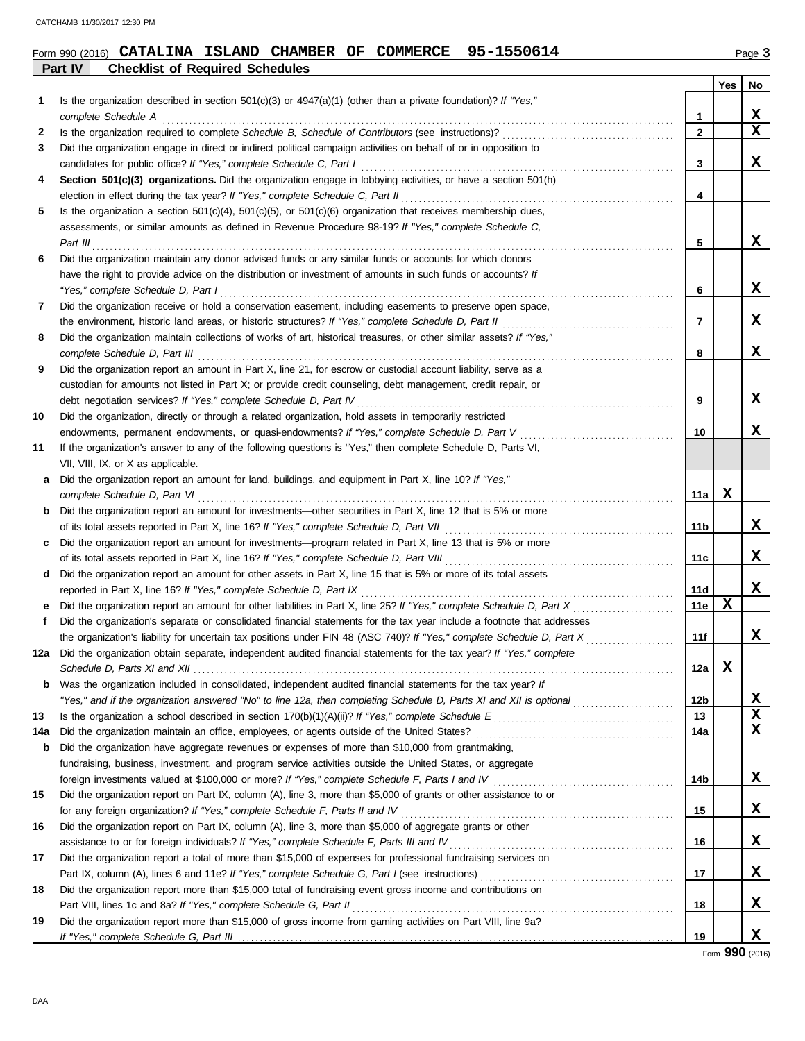#### **Part IV Checklist of Required Schedules Form 990 (2016) CATALINA ISLAND CHAMBER OF COMMERCE 95-1550614** Page 3

|     |                                                                                                                                                                                                                                                      |                | Yes | No |
|-----|------------------------------------------------------------------------------------------------------------------------------------------------------------------------------------------------------------------------------------------------------|----------------|-----|----|
| 1   | Is the organization described in section $501(c)(3)$ or $4947(a)(1)$ (other than a private foundation)? If "Yes,"                                                                                                                                    |                |     |    |
|     | complete Schedule A                                                                                                                                                                                                                                  | 1              |     | x  |
| 2   |                                                                                                                                                                                                                                                      | $\overline{2}$ |     | X  |
| 3   | Did the organization engage in direct or indirect political campaign activities on behalf of or in opposition to                                                                                                                                     |                |     |    |
|     | candidates for public office? If "Yes," complete Schedule C, Part I                                                                                                                                                                                  | 3              |     | x  |
| 4   | Section 501(c)(3) organizations. Did the organization engage in lobbying activities, or have a section 501(h)                                                                                                                                        |                |     |    |
|     | election in effect during the tax year? If "Yes," complete Schedule C, Part II                                                                                                                                                                       | 4              |     |    |
| 5   | Is the organization a section $501(c)(4)$ , $501(c)(5)$ , or $501(c)(6)$ organization that receives membership dues,                                                                                                                                 |                |     |    |
|     | assessments, or similar amounts as defined in Revenue Procedure 98-19? If "Yes," complete Schedule C,                                                                                                                                                |                |     |    |
|     | Part III                                                                                                                                                                                                                                             | 5              |     | x  |
| 6   | Did the organization maintain any donor advised funds or any similar funds or accounts for which donors                                                                                                                                              |                |     |    |
|     | have the right to provide advice on the distribution or investment of amounts in such funds or accounts? If                                                                                                                                          |                |     |    |
|     | "Yes," complete Schedule D, Part I                                                                                                                                                                                                                   | 6              |     | x  |
| 7   | Did the organization receive or hold a conservation easement, including easements to preserve open space,                                                                                                                                            |                |     | x  |
|     | the environment, historic land areas, or historic structures? If "Yes," complete Schedule D, Part II                                                                                                                                                 | $\overline{7}$ |     |    |
| 8   | Did the organization maintain collections of works of art, historical treasures, or other similar assets? If "Yes,"                                                                                                                                  | 8              |     | x  |
| 9   | complete Schedule D, Part III<br>Did the organization report an amount in Part X, line 21, for escrow or custodial account liability, serve as a                                                                                                     |                |     |    |
|     | custodian for amounts not listed in Part X; or provide credit counseling, debt management, credit repair, or                                                                                                                                         |                |     |    |
|     | debt negotiation services? If "Yes," complete Schedule D, Part IV                                                                                                                                                                                    | 9              |     | x  |
| 10  | Did the organization, directly or through a related organization, hold assets in temporarily restricted                                                                                                                                              |                |     |    |
|     | endowments, permanent endowments, or quasi-endowments? If "Yes," complete Schedule D, Part V                                                                                                                                                         | 10             |     | x  |
| 11  | If the organization's answer to any of the following questions is "Yes," then complete Schedule D, Parts VI,                                                                                                                                         |                |     |    |
|     | VII, VIII, IX, or X as applicable.                                                                                                                                                                                                                   |                |     |    |
| a   | Did the organization report an amount for land, buildings, and equipment in Part X, line 10? If "Yes,"                                                                                                                                               |                |     |    |
|     | complete Schedule D, Part VI                                                                                                                                                                                                                         | 11a            | х   |    |
| b   | Did the organization report an amount for investments—other securities in Part X, line 12 that is 5% or more                                                                                                                                         |                |     |    |
|     | of its total assets reported in Part X, line 16? If "Yes," complete Schedule D, Part VII                                                                                                                                                             | 11b            |     | x  |
| c   | Did the organization report an amount for investments—program related in Part X, line 13 that is 5% or more                                                                                                                                          |                |     |    |
|     | of its total assets reported in Part X, line 16? If "Yes," complete Schedule D, Part VIII                                                                                                                                                            | 11c            |     | x  |
| d   | Did the organization report an amount for other assets in Part X, line 15 that is 5% or more of its total assets                                                                                                                                     |                |     |    |
|     | reported in Part X, line 16? If "Yes," complete Schedule D, Part IX                                                                                                                                                                                  | 11d            |     | x  |
|     | Did the organization report an amount for other liabilities in Part X, line 25? If "Yes," complete Schedule D, Part X                                                                                                                                | 11e            | X   |    |
| f.  | Did the organization's separate or consolidated financial statements for the tax year include a footnote that addresses                                                                                                                              |                |     |    |
|     | the organization's liability for uncertain tax positions under FIN 48 (ASC 740)? If "Yes," complete Schedule D, Part X                                                                                                                               | 11f            |     | x  |
|     | 12a Did the organization obtain separate, independent audited financial statements for the tax year? If "Yes," complete                                                                                                                              |                |     |    |
|     |                                                                                                                                                                                                                                                      | 12a            | X   |    |
| b   | Was the organization included in consolidated, independent audited financial statements for the tax year? If                                                                                                                                         |                |     |    |
|     | "Yes," and if the organization answered "No" to line 12a, then completing Schedule D, Parts XI and XII is optional                                                                                                                                   | 12b            |     | x  |
| 13  | Is the organization a school described in section 170(b)(1)(A)(ii)? If "Yes," complete Schedule E<br>Schedule E<br>Schedule E<br>Schedule E<br>Schedule E<br>Schedule E<br>Schedule E<br>Schedule B<br>Schedule B<br>Schedule B<br>Schedule B<br>Sch | 13             |     | X  |
| 14a | Did the organization maintain an office, employees, or agents outside of the United States?                                                                                                                                                          | 14a            |     | x  |
| b   | Did the organization have aggregate revenues or expenses of more than \$10,000 from grantmaking,                                                                                                                                                     |                |     |    |
|     | fundraising, business, investment, and program service activities outside the United States, or aggregate                                                                                                                                            |                |     |    |
|     |                                                                                                                                                                                                                                                      | 14b            |     | x  |
| 15  | Did the organization report on Part IX, column (A), line 3, more than \$5,000 of grants or other assistance to or                                                                                                                                    |                |     |    |
|     | for any foreign organization? If "Yes," complete Schedule F, Parts II and IV                                                                                                                                                                         | 15             |     | X. |
| 16  | Did the organization report on Part IX, column (A), line 3, more than \$5,000 of aggregate grants or other<br>assistance to or for foreign individuals? If "Yes," complete Schedule F, Parts III and IV                                              | 16             |     | X. |
| 17  | Did the organization report a total of more than \$15,000 of expenses for professional fundraising services on                                                                                                                                       |                |     |    |
|     |                                                                                                                                                                                                                                                      | 17             |     | X  |
| 18  | Did the organization report more than \$15,000 total of fundraising event gross income and contributions on                                                                                                                                          |                |     |    |
|     | Part VIII, lines 1c and 8a? If "Yes," complete Schedule G, Part II                                                                                                                                                                                   | 18             |     | X  |
| 19  | Did the organization report more than \$15,000 of gross income from gaming activities on Part VIII, line 9a?                                                                                                                                         |                |     |    |
|     |                                                                                                                                                                                                                                                      | 19             |     | x  |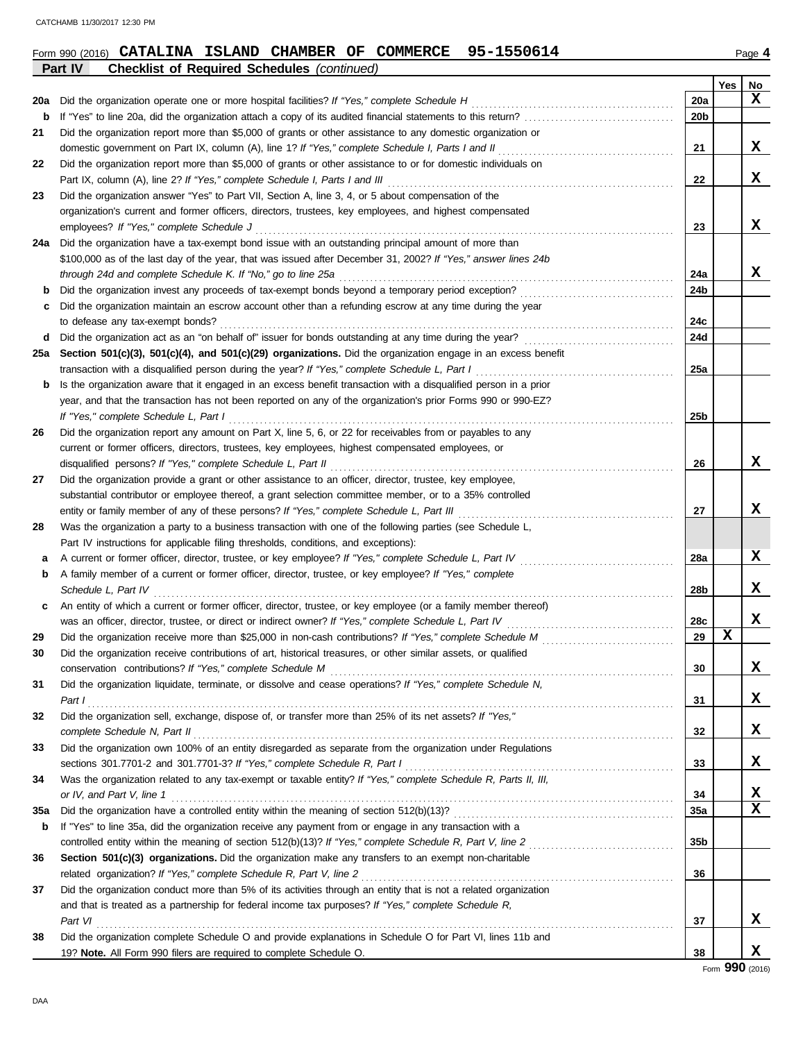|     | Part IV<br><b>Checklist of Required Schedules (continued)</b>                                                                                                                                                                 |                 |          |    |
|-----|-------------------------------------------------------------------------------------------------------------------------------------------------------------------------------------------------------------------------------|-----------------|----------|----|
|     |                                                                                                                                                                                                                               |                 | Yes      | No |
| 20a | Did the organization operate one or more hospital facilities? If "Yes," complete Schedule H                                                                                                                                   | 20a             |          | x  |
| b   |                                                                                                                                                                                                                               | 20 <sub>b</sub> |          |    |
| 21  | Did the organization report more than \$5,000 of grants or other assistance to any domestic organization or                                                                                                                   |                 |          |    |
|     | domestic government on Part IX, column (A), line 1? If "Yes," complete Schedule I, Parts I and II                                                                                                                             | 21              |          | X  |
| 22  | Did the organization report more than \$5,000 of grants or other assistance to or for domestic individuals on                                                                                                                 |                 |          |    |
|     |                                                                                                                                                                                                                               | 22              |          | X  |
| 23  | Did the organization answer "Yes" to Part VII, Section A, line 3, 4, or 5 about compensation of the                                                                                                                           |                 |          |    |
|     | organization's current and former officers, directors, trustees, key employees, and highest compensated                                                                                                                       |                 |          |    |
|     | employees? If "Yes," complete Schedule J                                                                                                                                                                                      | 23              |          | X  |
| 24a | Did the organization have a tax-exempt bond issue with an outstanding principal amount of more than                                                                                                                           |                 |          |    |
|     | \$100,000 as of the last day of the year, that was issued after December 31, 2002? If "Yes," answer lines 24b                                                                                                                 |                 |          |    |
|     |                                                                                                                                                                                                                               | 24a             |          | X  |
| b   |                                                                                                                                                                                                                               | 24b             |          |    |
| c   | Did the organization maintain an escrow account other than a refunding escrow at any time during the year                                                                                                                     |                 |          |    |
|     | to defease any tax-exempt bonds?                                                                                                                                                                                              | 24c             |          |    |
| d   |                                                                                                                                                                                                                               | 24d             |          |    |
| 25a | Section 501(c)(3), 501(c)(4), and 501(c)(29) organizations. Did the organization engage in an excess benefit                                                                                                                  |                 |          |    |
|     | transaction with a disqualified person during the year? If "Yes," complete Schedule L, Part I                                                                                                                                 | 25a             |          |    |
| b   | Is the organization aware that it engaged in an excess benefit transaction with a disqualified person in a prior                                                                                                              |                 |          |    |
|     | year, and that the transaction has not been reported on any of the organization's prior Forms 990 or 990-EZ?                                                                                                                  |                 |          |    |
|     | If "Yes," complete Schedule L, Part I                                                                                                                                                                                         | 25 <sub>b</sub> |          |    |
| 26  | Did the organization report any amount on Part X, line 5, 6, or 22 for receivables from or payables to any                                                                                                                    |                 |          |    |
|     | current or former officers, directors, trustees, key employees, highest compensated employees, or                                                                                                                             |                 |          |    |
|     | disqualified persons? If "Yes," complete Schedule L, Part II                                                                                                                                                                  | 26              |          | x  |
| 27  | Did the organization provide a grant or other assistance to an officer, director, trustee, key employee,                                                                                                                      |                 |          |    |
|     | substantial contributor or employee thereof, a grant selection committee member, or to a 35% controlled                                                                                                                       |                 |          |    |
|     | entity or family member of any of these persons? If "Yes," complete Schedule L, Part III [[[[[[[[[[[[[[[[[[[[[                                                                                                                | 27              |          | X  |
| 28  | Was the organization a party to a business transaction with one of the following parties (see Schedule L,                                                                                                                     |                 |          |    |
|     | Part IV instructions for applicable filing thresholds, conditions, and exceptions):                                                                                                                                           |                 |          |    |
| а   | A current or former officer, director, trustee, or key employee? If "Yes," complete Schedule L, Part IV                                                                                                                       | <b>28a</b>      |          | x  |
| b   | A family member of a current or former officer, director, trustee, or key employee? If "Yes," complete                                                                                                                        |                 |          |    |
|     | Schedule L, Part IV                                                                                                                                                                                                           | 28b             |          | x  |
| c   | An entity of which a current or former officer, director, trustee, or key employee (or a family member thereof)                                                                                                               |                 |          |    |
|     |                                                                                                                                                                                                                               | 28c             |          | X  |
| 29  |                                                                                                                                                                                                                               | 29              | X        |    |
| 30  | Did the organization receive contributions of art, historical treasures, or other similar assets, or qualified                                                                                                                |                 |          |    |
|     |                                                                                                                                                                                                                               | 30              |          | x  |
| 31  | Did the organization liquidate, terminate, or dissolve and cease operations? If "Yes," complete Schedule N,                                                                                                                   |                 |          |    |
|     | Part $I$                                                                                                                                                                                                                      | 31              |          | x  |
| 32  | Did the organization sell, exchange, dispose of, or transfer more than 25% of its net assets? If "Yes,"                                                                                                                       |                 |          |    |
|     | complete Schedule N, Part II et al. (2008) and the complete Schedule N, Part II et al. (2009) and the complete Schedule N, Part II et al. (2009) and the complete Schedule N, Part II et al. (2009) and the complete Schedule | 32              |          | x  |
| 33  | Did the organization own 100% of an entity disregarded as separate from the organization under Regulations                                                                                                                    |                 |          |    |
|     | sections 301.7701-2 and 301.7701-3? If "Yes," complete Schedule R, Part I                                                                                                                                                     | 33              |          | x  |
| 34  | Was the organization related to any tax-exempt or taxable entity? If "Yes," complete Schedule R, Parts II, III,                                                                                                               |                 |          |    |
|     | or IV, and Part V, line 1                                                                                                                                                                                                     | 34              |          | X  |
| 35a |                                                                                                                                                                                                                               | 35a             |          | x  |
| b   | If "Yes" to line 35a, did the organization receive any payment from or engage in any transaction with a                                                                                                                       |                 |          |    |
|     |                                                                                                                                                                                                                               | 35 <sub>b</sub> |          |    |
| 36  | Section 501(c)(3) organizations. Did the organization make any transfers to an exempt non-charitable                                                                                                                          |                 |          |    |
|     |                                                                                                                                                                                                                               | 36              |          |    |
| 37  | Did the organization conduct more than 5% of its activities through an entity that is not a related organization                                                                                                              |                 |          |    |
|     | and that is treated as a partnership for federal income tax purposes? If "Yes," complete Schedule R,                                                                                                                          |                 |          |    |
|     | Part VI                                                                                                                                                                                                                       | 37              |          | x  |
| 38  | Did the organization complete Schedule O and provide explanations in Schedule O for Part VI, lines 11b and                                                                                                                    |                 |          |    |
|     | 19? Note. All Form 990 filers are required to complete Schedule O.                                                                                                                                                            | 38              | $\Omega$ | x  |

**Form 990 (2016) CATALINA ISLAND CHAMBER OF COMMERCE 95-1550614** Page 4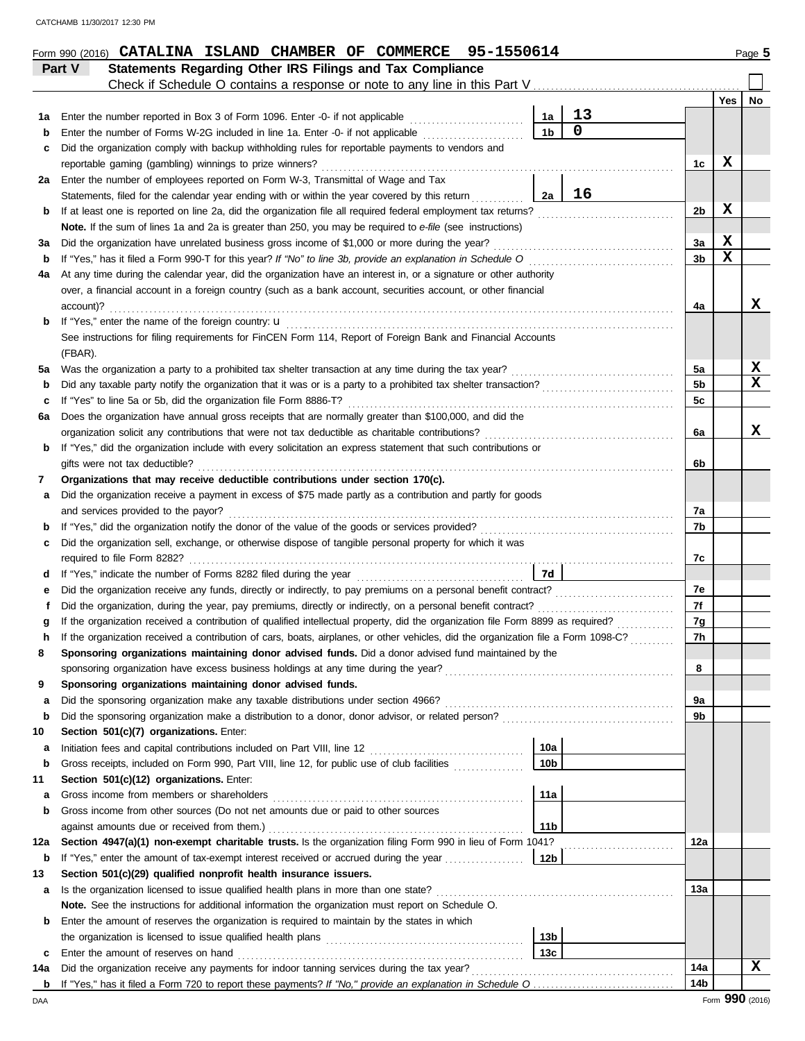|     | Form 990 (2016) CATALINA ISLAND CHAMBER OF COMMERCE 95-1550614                                                                                                           |                 |                |                |                            | Page 5 |
|-----|--------------------------------------------------------------------------------------------------------------------------------------------------------------------------|-----------------|----------------|----------------|----------------------------|--------|
|     | Statements Regarding Other IRS Filings and Tax Compliance<br>Part V                                                                                                      |                 |                |                |                            |        |
|     |                                                                                                                                                                          |                 |                |                |                            |        |
|     |                                                                                                                                                                          |                 |                |                | Yes                        | No     |
| 1а  | Enter the number reported in Box 3 of Form 1096. Enter -0- if not applicable                                                                                             | 1a              | 13             |                |                            |        |
| b   | Enter the number of Forms W-2G included in line 1a. Enter -0- if not applicable <i>minimizion</i>                                                                        | 1 <sub>b</sub>  | $\overline{0}$ |                |                            |        |
| c   | Did the organization comply with backup withholding rules for reportable payments to vendors and                                                                         |                 |                |                |                            |        |
|     | reportable gaming (gambling) winnings to prize winners?                                                                                                                  |                 |                | 1c             | X                          |        |
|     | 2a Enter the number of employees reported on Form W-3, Transmittal of Wage and Tax                                                                                       |                 |                |                |                            |        |
|     | Statements, filed for the calendar year ending with or within the year covered by this return                                                                            | 2a              | 16             |                |                            |        |
| b   | If at least one is reported on line 2a, did the organization file all required federal employment tax returns?                                                           |                 |                | 2b             | X                          |        |
|     | Note. If the sum of lines 1a and 2a is greater than 250, you may be required to e-file (see instructions)                                                                |                 |                |                |                            |        |
| За  | Did the organization have unrelated business gross income of \$1,000 or more during the year?                                                                            |                 |                | 3a             | $\mathbf x$<br>$\mathbf x$ |        |
| b   | If "Yes," has it filed a Form 990-T for this year? If "No" to line 3b, provide an explanation in Schedule O                                                              |                 |                | 3 <sub>b</sub> |                            |        |
| 4a  | At any time during the calendar year, did the organization have an interest in, or a signature or other authority                                                        |                 |                |                |                            |        |
|     | over, a financial account in a foreign country (such as a bank account, securities account, or other financial<br>account)?                                              |                 |                | 4a             |                            | X      |
|     |                                                                                                                                                                          |                 |                |                |                            |        |
| b   | If "Yes," enter the name of the foreign country: <b>u</b><br>See instructions for filing requirements for FinCEN Form 114, Report of Foreign Bank and Financial Accounts |                 |                |                |                            |        |
|     | (FBAR).                                                                                                                                                                  |                 |                |                |                            |        |
| 5a  | Was the organization a party to a prohibited tax shelter transaction at any time during the tax year?                                                                    |                 |                | 5a             |                            | X      |
| b   | Did any taxable party notify the organization that it was or is a party to a prohibited tax shelter transaction?                                                         |                 |                | 5 <sub>b</sub> |                            | X      |
| c   | If "Yes" to line 5a or 5b, did the organization file Form 8886-T?                                                                                                        |                 |                | 5c             |                            |        |
| 6a  | Does the organization have annual gross receipts that are normally greater than \$100,000, and did the                                                                   |                 |                |                |                            |        |
|     | organization solicit any contributions that were not tax deductible as charitable contributions?                                                                         |                 |                | 6a             |                            | x      |
| b   | If "Yes," did the organization include with every solicitation an express statement that such contributions or                                                           |                 |                |                |                            |        |
|     | gifts were not tax deductible?                                                                                                                                           |                 |                | 6b             |                            |        |
| 7   | Organizations that may receive deductible contributions under section 170(c).                                                                                            |                 |                |                |                            |        |
| a   | Did the organization receive a payment in excess of \$75 made partly as a contribution and partly for goods                                                              |                 |                |                |                            |        |
|     | and services provided to the payor?                                                                                                                                      |                 |                | 7а             |                            |        |
| b   |                                                                                                                                                                          |                 |                | 7b             |                            |        |
| c   | Did the organization sell, exchange, or otherwise dispose of tangible personal property for which it was                                                                 |                 |                |                |                            |        |
|     |                                                                                                                                                                          |                 |                | 7c             |                            |        |
| d   |                                                                                                                                                                          | 7d              |                |                |                            |        |
| е   |                                                                                                                                                                          |                 |                | 7е             |                            |        |
| f   |                                                                                                                                                                          |                 |                | 7f             |                            |        |
|     | If the organization received a contribution of qualified intellectual property, did the organization file Form 8899 as required?                                         |                 |                | 7g             |                            |        |
|     | If the organization received a contribution of cars, boats, airplanes, or other vehicles, did the organization file a Form 1098-C?                                       |                 |                | 7h             |                            |        |
| 8   | Sponsoring organizations maintaining donor advised funds. Did a donor advised fund maintained by the                                                                     |                 |                |                |                            |        |
|     | sponsoring organization have excess business holdings at any time during the year?                                                                                       |                 |                | 8              |                            |        |
| 9   | Sponsoring organizations maintaining donor advised funds.                                                                                                                |                 |                |                |                            |        |
| a   | Did the sponsoring organization make any taxable distributions under section 4966?                                                                                       |                 |                | 9a             |                            |        |
| b   | Did the sponsoring organization make a distribution to a donor, donor advisor, or related person?                                                                        |                 |                | 9b             |                            |        |
| 10  | Section 501(c)(7) organizations. Enter:                                                                                                                                  |                 |                |                |                            |        |
| a   |                                                                                                                                                                          | 10a             |                |                |                            |        |
| b   | Gross receipts, included on Form 990, Part VIII, line 12, for public use of club facilities                                                                              | 10 <sub>b</sub> |                |                |                            |        |
| 11  | Section 501(c)(12) organizations. Enter:<br>Gross income from members or shareholders                                                                                    | 11a             |                |                |                            |        |
| a   | Gross income from other sources (Do not net amounts due or paid to other sources                                                                                         |                 |                |                |                            |        |
| b   | against amounts due or received from them.)                                                                                                                              | 11 <sub>b</sub> |                |                |                            |        |
| 12a | Section 4947(a)(1) non-exempt charitable trusts. Is the organization filing Form 990 in lieu of Form 1041?                                                               |                 |                | 12a            |                            |        |
| b   | If "Yes," enter the amount of tax-exempt interest received or accrued during the year                                                                                    | 12 <sub>b</sub> |                |                |                            |        |
| 13  | Section 501(c)(29) qualified nonprofit health insurance issuers.                                                                                                         |                 |                |                |                            |        |
| a   | Is the organization licensed to issue qualified health plans in more than one state?                                                                                     |                 |                | 13а            |                            |        |
|     | Note. See the instructions for additional information the organization must report on Schedule O.                                                                        |                 |                |                |                            |        |
| b   | Enter the amount of reserves the organization is required to maintain by the states in which                                                                             |                 |                |                |                            |        |
|     | the organization is licensed to issue qualified health plans [11] contains the organization is licensed to issue qualified health plans                                  | 13 <sub>b</sub> |                |                |                            |        |
| c   | Enter the amount of reserves on hand                                                                                                                                     | 13 <sub>c</sub> |                |                |                            |        |
| 14a | Did the organization receive any payments for indoor tanning services during the tax year?                                                                               |                 |                | 14a            |                            | x      |
|     |                                                                                                                                                                          |                 |                | 14b            |                            |        |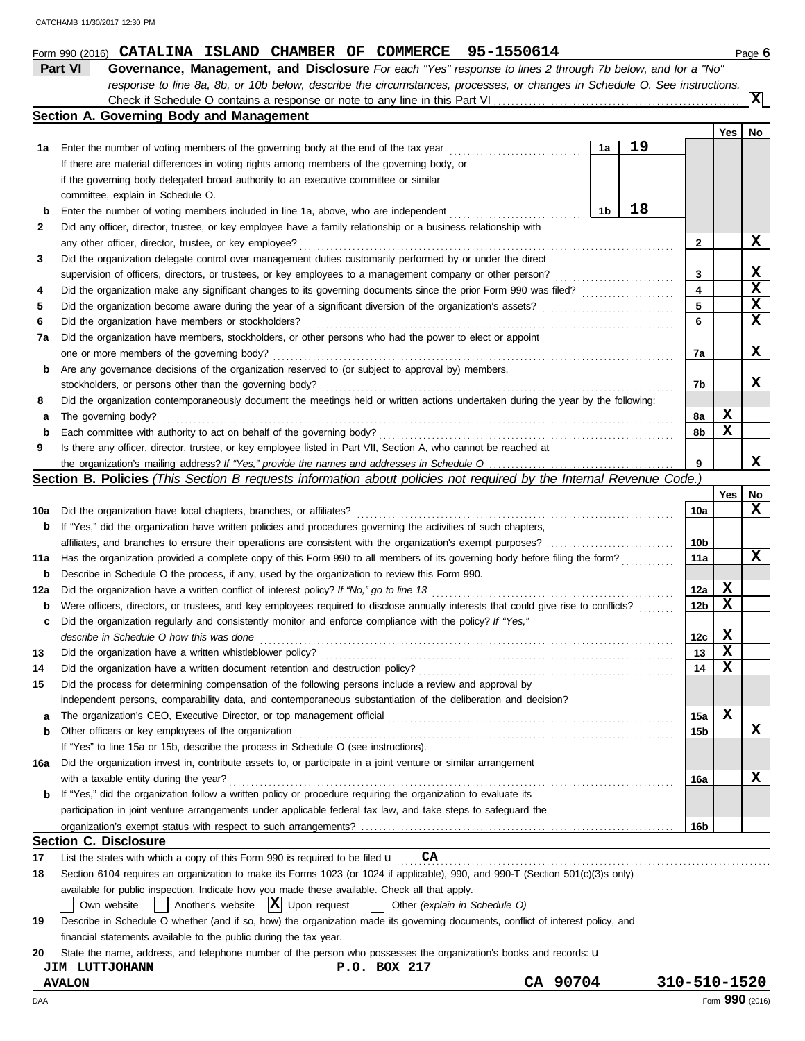|                                                                                                                                    | Part VI<br>Governance, Management, and Disclosure For each "Yes" response to lines 2 through 7b below, and for a "No"               |              |        |                  |  |  |  |  |  |  |
|------------------------------------------------------------------------------------------------------------------------------------|-------------------------------------------------------------------------------------------------------------------------------------|--------------|--------|------------------|--|--|--|--|--|--|
|                                                                                                                                    | response to line 8a, 8b, or 10b below, describe the circumstances, processes, or changes in Schedule O. See instructions.           |              |        |                  |  |  |  |  |  |  |
|                                                                                                                                    |                                                                                                                                     |              |        | Iх               |  |  |  |  |  |  |
|                                                                                                                                    | Section A. Governing Body and Management                                                                                            |              | Yes    | No               |  |  |  |  |  |  |
|                                                                                                                                    | 19<br>Enter the number of voting members of the governing body at the end of the tax year<br>1a                                     |              |        |                  |  |  |  |  |  |  |
| 1a                                                                                                                                 | If there are material differences in voting rights among members of the governing body, or                                          |              |        |                  |  |  |  |  |  |  |
|                                                                                                                                    | if the governing body delegated broad authority to an executive committee or similar                                                |              |        |                  |  |  |  |  |  |  |
|                                                                                                                                    | committee, explain in Schedule O.                                                                                                   |              |        |                  |  |  |  |  |  |  |
| b                                                                                                                                  | 18<br>1b<br>Enter the number of voting members included in line 1a, above, who are independent                                      |              |        |                  |  |  |  |  |  |  |
| 2                                                                                                                                  | Did any officer, director, trustee, or key employee have a family relationship or a business relationship with                      |              |        |                  |  |  |  |  |  |  |
|                                                                                                                                    | any other officer, director, trustee, or key employee?                                                                              | 2            |        | x                |  |  |  |  |  |  |
| 3                                                                                                                                  | Did the organization delegate control over management duties customarily performed by or under the direct                           |              |        |                  |  |  |  |  |  |  |
|                                                                                                                                    | supervision of officers, directors, or trustees, or key employees to a management company or other person?                          |              |        |                  |  |  |  |  |  |  |
| 4                                                                                                                                  |                                                                                                                                     | 3<br>4       |        | X<br>$\mathbf x$ |  |  |  |  |  |  |
| 5                                                                                                                                  |                                                                                                                                     | 5            |        | X                |  |  |  |  |  |  |
| 6                                                                                                                                  | Did the organization have members or stockholders?                                                                                  | 6            |        | X                |  |  |  |  |  |  |
| 7a                                                                                                                                 | Did the organization have members, stockholders, or other persons who had the power to elect or appoint                             |              |        |                  |  |  |  |  |  |  |
|                                                                                                                                    | one or more members of the governing body?                                                                                          | 7a           |        | X                |  |  |  |  |  |  |
| b                                                                                                                                  | Are any governance decisions of the organization reserved to (or subject to approval by) members,                                   |              |        |                  |  |  |  |  |  |  |
|                                                                                                                                    | stockholders, or persons other than the governing body?                                                                             | 7b           |        | x                |  |  |  |  |  |  |
| 8                                                                                                                                  | Did the organization contemporaneously document the meetings held or written actions undertaken during the year by the following:   |              |        |                  |  |  |  |  |  |  |
| а                                                                                                                                  | The governing body?                                                                                                                 | 8а           | X      |                  |  |  |  |  |  |  |
| b                                                                                                                                  | Each committee with authority to act on behalf of the governing body?                                                               | 8b           | x      |                  |  |  |  |  |  |  |
| 9                                                                                                                                  | Is there any officer, director, trustee, or key employee listed in Part VII, Section A, who cannot be reached at                    |              |        |                  |  |  |  |  |  |  |
|                                                                                                                                    |                                                                                                                                     | 9            |        | x                |  |  |  |  |  |  |
|                                                                                                                                    | Section B. Policies (This Section B requests information about policies not required by the Internal Revenue Code.)                 |              |        |                  |  |  |  |  |  |  |
|                                                                                                                                    |                                                                                                                                     |              | Yes    | No               |  |  |  |  |  |  |
| 10a                                                                                                                                | Did the organization have local chapters, branches, or affiliates?                                                                  | 10a          |        | x                |  |  |  |  |  |  |
| b                                                                                                                                  | If "Yes," did the organization have written policies and procedures governing the activities of such chapters,                      |              |        |                  |  |  |  |  |  |  |
|                                                                                                                                    |                                                                                                                                     | 10b          |        |                  |  |  |  |  |  |  |
| Has the organization provided a complete copy of this Form 990 to all members of its governing body before filing the form?<br>11a |                                                                                                                                     |              |        |                  |  |  |  |  |  |  |
| b                                                                                                                                  | Describe in Schedule O the process, if any, used by the organization to review this Form 990.                                       |              |        |                  |  |  |  |  |  |  |
| 12a                                                                                                                                | Did the organization have a written conflict of interest policy? If "No," go to line 13                                             |              |        |                  |  |  |  |  |  |  |
| b                                                                                                                                  | Were officers, directors, or trustees, and key employees required to disclose annually interests that could give rise to conflicts? | 12a<br>12b   | X<br>x |                  |  |  |  |  |  |  |
| c                                                                                                                                  | Did the organization regularly and consistently monitor and enforce compliance with the policy? If "Yes,"                           |              |        |                  |  |  |  |  |  |  |
|                                                                                                                                    | describe in Schedule O how this was done                                                                                            | 12c          | X      |                  |  |  |  |  |  |  |
| 13                                                                                                                                 | Did the organization have a written whistleblower policy?                                                                           | 13           | X      |                  |  |  |  |  |  |  |
| 14                                                                                                                                 | Did the organization have a written document retention and destruction policy?                                                      | 14           | X      |                  |  |  |  |  |  |  |
| 15                                                                                                                                 | Did the process for determining compensation of the following persons include a review and approval by                              |              |        |                  |  |  |  |  |  |  |
|                                                                                                                                    | independent persons, comparability data, and contemporaneous substantiation of the deliberation and decision?                       |              |        |                  |  |  |  |  |  |  |
| а                                                                                                                                  |                                                                                                                                     | 15a          | X      |                  |  |  |  |  |  |  |
| b                                                                                                                                  | Other officers or key employees of the organization                                                                                 | 15b          |        | X                |  |  |  |  |  |  |
|                                                                                                                                    | If "Yes" to line 15a or 15b, describe the process in Schedule O (see instructions).                                                 |              |        |                  |  |  |  |  |  |  |
| 16a                                                                                                                                | Did the organization invest in, contribute assets to, or participate in a joint venture or similar arrangement                      |              |        |                  |  |  |  |  |  |  |
|                                                                                                                                    | with a taxable entity during the year?                                                                                              | 16a          |        | X.               |  |  |  |  |  |  |
| b                                                                                                                                  | If "Yes," did the organization follow a written policy or procedure requiring the organization to evaluate its                      |              |        |                  |  |  |  |  |  |  |
|                                                                                                                                    | participation in joint venture arrangements under applicable federal tax law, and take steps to safeguard the                       |              |        |                  |  |  |  |  |  |  |
|                                                                                                                                    |                                                                                                                                     | 16b          |        |                  |  |  |  |  |  |  |
|                                                                                                                                    | <b>Section C. Disclosure</b>                                                                                                        |              |        |                  |  |  |  |  |  |  |
| 17                                                                                                                                 | CA<br>List the states with which a copy of this Form 990 is required to be filed $\mathbf u$                                        |              |        |                  |  |  |  |  |  |  |
| 18                                                                                                                                 | Section 6104 requires an organization to make its Forms 1023 (or 1024 if applicable), 990, and 990-T (Section 501(c)(3)s only)      |              |        |                  |  |  |  |  |  |  |
|                                                                                                                                    | available for public inspection. Indicate how you made these available. Check all that apply.                                       |              |        |                  |  |  |  |  |  |  |
|                                                                                                                                    | Another's website $ \mathbf{X} $ Upon request<br>Own website<br>Other (explain in Schedule O)                                       |              |        |                  |  |  |  |  |  |  |
| 19                                                                                                                                 | Describe in Schedule O whether (and if so, how) the organization made its governing documents, conflict of interest policy, and     |              |        |                  |  |  |  |  |  |  |
|                                                                                                                                    | financial statements available to the public during the tax year.                                                                   |              |        |                  |  |  |  |  |  |  |
| 20                                                                                                                                 | State the name, address, and telephone number of the person who possesses the organization's books and records: <b>u</b>            |              |        |                  |  |  |  |  |  |  |
|                                                                                                                                    | P.O. BOX 217<br><b>JIM LUTTJOHANN</b>                                                                                               |              |        |                  |  |  |  |  |  |  |
|                                                                                                                                    | CA 90704<br><b>AVALON</b>                                                                                                           | 310-510-1520 |        |                  |  |  |  |  |  |  |

**CATALINA ISLAND CHAMBER OF COMMERCE 95-1550614**

DAA Form **990** (2016)

Form 990 (2016) **CATALINA ISLAND CHAMBER OF COMMERCE** 95-1550614 Page 6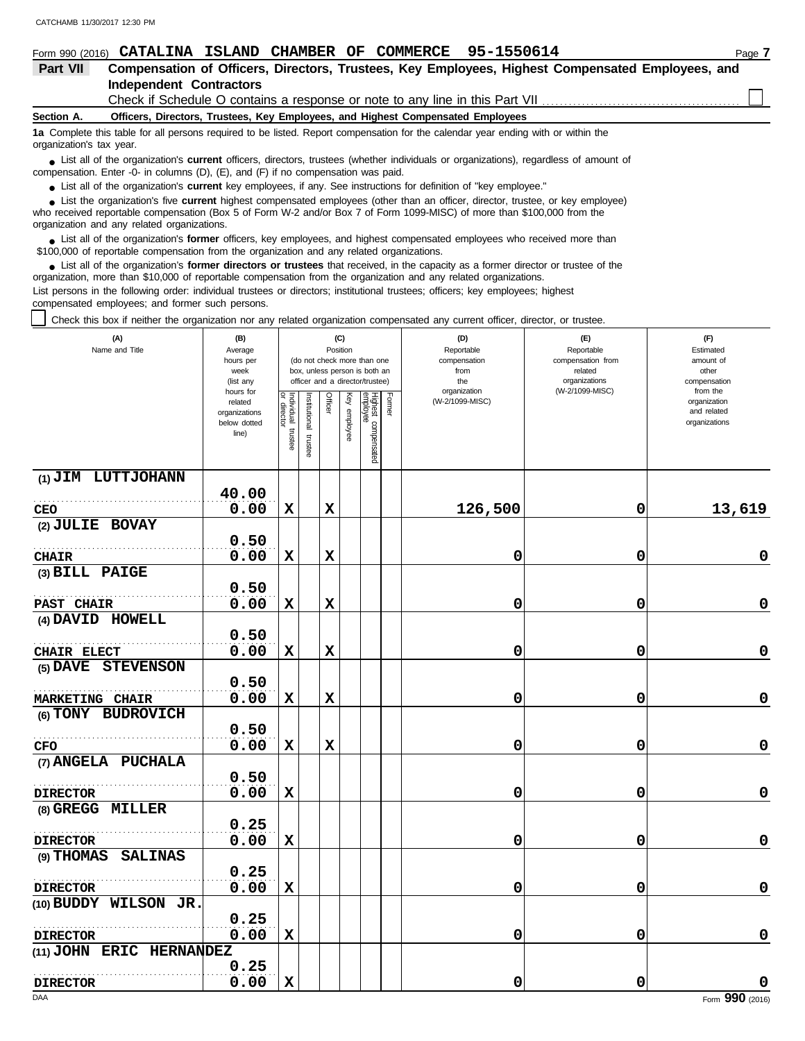|                                                                                               | Form 990 (2016) CATALINA ISLAND CHAMBER OF COMMERCE 95-1550614                                                                                                                                                                     | Page 7 |  |  |  |  |  |  |  |  |  |
|-----------------------------------------------------------------------------------------------|------------------------------------------------------------------------------------------------------------------------------------------------------------------------------------------------------------------------------------|--------|--|--|--|--|--|--|--|--|--|
| Part VII                                                                                      | Compensation of Officers, Directors, Trustees, Key Employees, Highest Compensated Employees, and                                                                                                                                   |        |  |  |  |  |  |  |  |  |  |
|                                                                                               | Independent Contractors                                                                                                                                                                                                            |        |  |  |  |  |  |  |  |  |  |
|                                                                                               |                                                                                                                                                                                                                                    |        |  |  |  |  |  |  |  |  |  |
| Section A.<br>Officers, Directors, Trustees, Key Employees, and Highest Compensated Employees |                                                                                                                                                                                                                                    |        |  |  |  |  |  |  |  |  |  |
|                                                                                               | 1a Complete this table for all persons required to be listed. Report compensation for the calendar year ending with or within the<br>organization's tax year.                                                                      |        |  |  |  |  |  |  |  |  |  |
|                                                                                               | • List all of the organization's <b>current</b> officers, directors, trustees (whether individuals or organizations), regardless of amount of<br>compensation. Enter -0- in columns (D), (E), and (F) if no compensation was paid. |        |  |  |  |  |  |  |  |  |  |

● List all of the organization's **current** key employees, if any. See instructions for definition of "key employee."

who received reportable compensation (Box 5 of Form W-2 and/or Box 7 of Form 1099-MISC) of more than \$100,000 from the organization and any related organizations. ■ List the organization's five **current** highest compensated employees (other than an officer, director, trustee, or key employee)<br> **•** Preceived reportable compensation (Box 5 of Ferm W 2 and/or Box 7 of Ferm 1000 MISC)

■ List all of the organization's **former** officers, key employees, and highest compensated employees who received more than<br> **•** 00.000 of reportable compensation from the examization and any related examizations \$100,000 of reportable compensation from the organization and any related organizations.

■ List all of the organization's **former directors or trustees** that received, in the capacity as a former director or trustee of the practization more than \$10,000 of reportable compensation from the organization and any organization, more than \$10,000 of reportable compensation from the organization and any related organizations. List persons in the following order: individual trustees or directors; institutional trustees; officers; key employees; highest compensated employees; and former such persons.

Check this box if neither the organization nor any related organization compensated any current officer, director, or trustee.

| (A)<br>Name and Title        | (B)<br>Average<br>hours per<br>week<br>(list any               |                                   |                         | Position    | (C)             | (do not check more than one<br>box, unless person is both an<br>officer and a director/trustee) | (D)<br>Reportable<br>compensation<br>from<br>the<br>organization |                 | (E)<br>Reportable<br>compensation from<br>related<br>organizations | (F)<br>Estimated<br>amount of<br>other<br>compensation   |
|------------------------------|----------------------------------------------------------------|-----------------------------------|-------------------------|-------------|-----------------|-------------------------------------------------------------------------------------------------|------------------------------------------------------------------|-----------------|--------------------------------------------------------------------|----------------------------------------------------------|
|                              | hours for<br>related<br>organizations<br>below dotted<br>line) | Individual trustee<br>or director | nstitutional<br>trustee | Officer     | Ķey<br>employee | Highest compensated<br>employee                                                                 | Former                                                           | (W-2/1099-MISC) | (W-2/1099-MISC)                                                    | from the<br>organization<br>and related<br>organizations |
| (1) JIM LUTTJOHANN           | 40.00                                                          |                                   |                         |             |                 |                                                                                                 |                                                                  |                 |                                                                    |                                                          |
|                              | 0.00                                                           | X                                 |                         | X           |                 |                                                                                                 |                                                                  | 126,500         | 0                                                                  | 13,619                                                   |
| CEO<br>(2) JULIE BOVAY       |                                                                |                                   |                         |             |                 |                                                                                                 |                                                                  |                 |                                                                    |                                                          |
|                              | 0.50                                                           |                                   |                         |             |                 |                                                                                                 |                                                                  |                 |                                                                    |                                                          |
| <b>CHAIR</b>                 | 0.00                                                           | X                                 |                         | X           |                 |                                                                                                 |                                                                  | 0               | 0                                                                  | 0                                                        |
| $(3)$ BILL PAIGE             |                                                                |                                   |                         |             |                 |                                                                                                 |                                                                  |                 |                                                                    |                                                          |
|                              | 0.50                                                           |                                   |                         |             |                 |                                                                                                 |                                                                  |                 |                                                                    |                                                          |
| <b>PAST CHAIR</b>            | 0.00                                                           | $\mathbf x$                       |                         | $\mathbf x$ |                 |                                                                                                 |                                                                  | 0               | 0                                                                  | $\pmb{0}$                                                |
| (4) DAVID HOWELL             |                                                                |                                   |                         |             |                 |                                                                                                 |                                                                  |                 |                                                                    |                                                          |
|                              | 0.50                                                           |                                   |                         |             |                 |                                                                                                 |                                                                  |                 |                                                                    |                                                          |
| CHAIR ELECT                  | 0.00                                                           | $\mathbf x$                       |                         | $\mathbf x$ |                 |                                                                                                 |                                                                  | 0               | 0                                                                  | $\mathbf 0$                                              |
| (5) DAVE STEVENSON           |                                                                |                                   |                         |             |                 |                                                                                                 |                                                                  |                 |                                                                    |                                                          |
|                              | 0.50                                                           |                                   |                         |             |                 |                                                                                                 |                                                                  |                 |                                                                    |                                                          |
| <b>MARKETING CHAIR</b>       | 0.00                                                           | $\mathbf x$                       |                         | $\mathbf x$ |                 |                                                                                                 |                                                                  | 0               | 0                                                                  | $\pmb{0}$                                                |
| (6) TONY BUDROVICH           |                                                                |                                   |                         |             |                 |                                                                                                 |                                                                  |                 |                                                                    |                                                          |
|                              | 0.50                                                           |                                   |                         |             |                 |                                                                                                 |                                                                  |                 |                                                                    |                                                          |
| CFO                          | 0.00                                                           | X                                 |                         | $\mathbf x$ |                 |                                                                                                 |                                                                  | 0               | 0                                                                  | $\pmb{0}$                                                |
| (7) ANGELA PUCHALA           |                                                                |                                   |                         |             |                 |                                                                                                 |                                                                  |                 |                                                                    |                                                          |
|                              | 0.50                                                           |                                   |                         |             |                 |                                                                                                 |                                                                  |                 |                                                                    |                                                          |
| <b>DIRECTOR</b>              | 0.00                                                           | $\mathbf x$                       |                         |             |                 |                                                                                                 |                                                                  | 0               | 0                                                                  | $\pmb{0}$                                                |
| (8) GREGG MILLER             |                                                                |                                   |                         |             |                 |                                                                                                 |                                                                  |                 |                                                                    |                                                          |
|                              | 0.25                                                           |                                   |                         |             |                 |                                                                                                 |                                                                  |                 |                                                                    |                                                          |
| <b>DIRECTOR</b>              | 0.00                                                           | X                                 |                         |             |                 |                                                                                                 |                                                                  | 0               | 0                                                                  | $\mathbf 0$                                              |
| (9) THOMAS<br><b>SALINAS</b> |                                                                |                                   |                         |             |                 |                                                                                                 |                                                                  |                 |                                                                    |                                                          |
|                              | 0.25                                                           |                                   |                         |             |                 |                                                                                                 |                                                                  |                 |                                                                    |                                                          |
| <b>DIRECTOR</b>              | 0.00                                                           | $\mathbf x$                       |                         |             |                 |                                                                                                 |                                                                  | 0               | 0                                                                  | $\mathbf 0$                                              |
| (10) BUDDY WILSON JR.        |                                                                |                                   |                         |             |                 |                                                                                                 |                                                                  |                 |                                                                    |                                                          |
|                              | 0.25                                                           |                                   |                         |             |                 |                                                                                                 |                                                                  |                 |                                                                    |                                                          |
| <b>DIRECTOR</b>              | 0.00                                                           | $\mathbf x$                       |                         |             |                 |                                                                                                 |                                                                  | 0               | 0                                                                  | $\mathbf 0$                                              |
| (11) JOHN ERIC HERNANDEZ     | 0.25                                                           |                                   |                         |             |                 |                                                                                                 |                                                                  |                 |                                                                    |                                                          |
| <b>DIRECTOR</b>              | 0.00                                                           | X                                 |                         |             |                 |                                                                                                 |                                                                  | 0               | 0                                                                  | 0                                                        |
|                              |                                                                |                                   |                         |             |                 |                                                                                                 |                                                                  |                 |                                                                    |                                                          |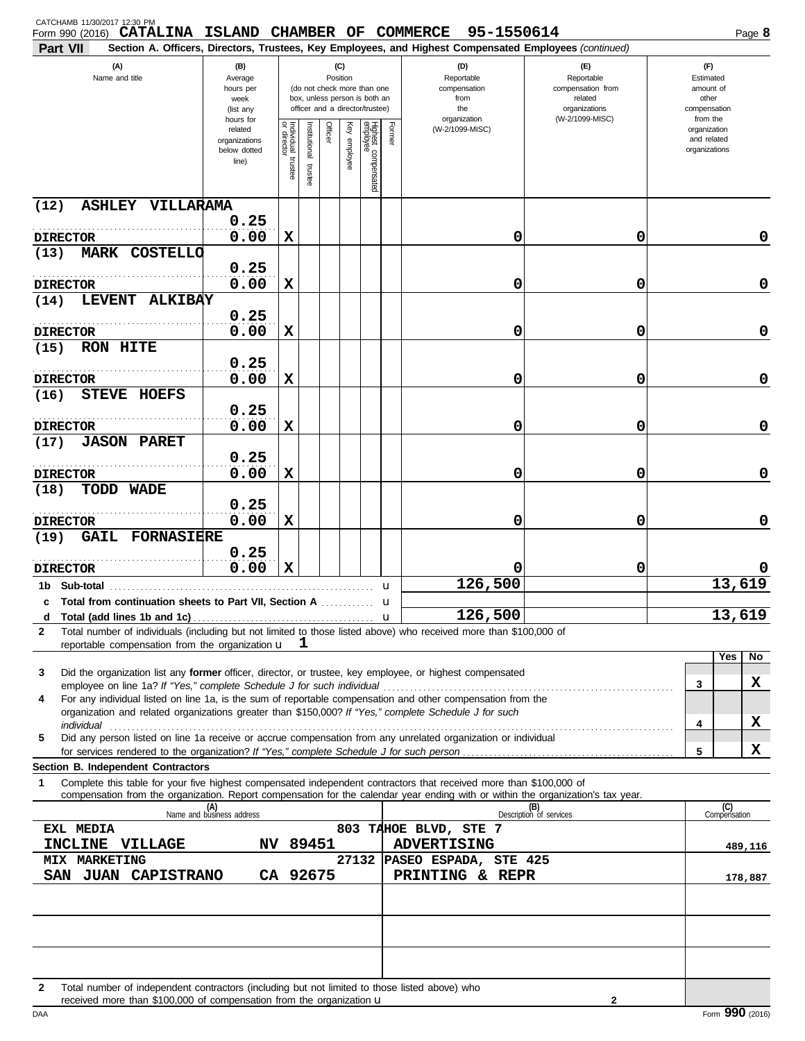| CATCHAMB 11/30/2017 12:30 PM<br>Form 990 (2016) CATALINA ISLAND CHAMBER OF COMMERCE 95-1550614                                                                                                  |                                                                |                                      |                         |         |                 |                                                                                                 |        |                                                                                                                                                            |                                                                    |   | Page 8                                                   |
|-------------------------------------------------------------------------------------------------------------------------------------------------------------------------------------------------|----------------------------------------------------------------|--------------------------------------|-------------------------|---------|-----------------|-------------------------------------------------------------------------------------------------|--------|------------------------------------------------------------------------------------------------------------------------------------------------------------|--------------------------------------------------------------------|---|----------------------------------------------------------|
| Part VII<br>(A)<br>(B)<br>Name and title<br>Average<br>hours per<br>week<br>(list any                                                                                                           |                                                                |                                      |                         |         | (C)<br>Position | (do not check more than one<br>box, unless person is both an<br>officer and a director/trustee) |        | Section A. Officers, Directors, Trustees, Key Employees, and Highest Compensated Employees (continued)<br>(D)<br>Reportable<br>compensation<br>from<br>the | (E)<br>Reportable<br>compensation from<br>related<br>organizations |   | (F)<br>Estimated<br>amount of<br>other<br>compensation   |
|                                                                                                                                                                                                 | hours for<br>related<br>organizations<br>below dotted<br>line) | Individual<br>or director<br>trustee | nstitutional<br>trustee | Officer | Ķey<br>employee | Highest compensated<br>employee                                                                 | Former | organization<br>(W-2/1099-MISC)                                                                                                                            | (W-2/1099-MISC)                                                    |   | from the<br>organization<br>and related<br>organizations |
| ASHLEY VILLARAMA<br>(12)                                                                                                                                                                        |                                                                |                                      |                         |         |                 |                                                                                                 |        |                                                                                                                                                            |                                                                    |   |                                                          |
| <b>DIRECTOR</b>                                                                                                                                                                                 | 0.25<br>0.00                                                   | X                                    |                         |         |                 |                                                                                                 |        | 0                                                                                                                                                          | 0                                                                  |   | 0                                                        |
| <b>MARK COSTELLO</b><br>(13)                                                                                                                                                                    |                                                                |                                      |                         |         |                 |                                                                                                 |        |                                                                                                                                                            |                                                                    |   |                                                          |
| <b>DIRECTOR</b>                                                                                                                                                                                 | 0.25<br>0.00                                                   | X                                    |                         |         |                 |                                                                                                 |        | 0                                                                                                                                                          | 0                                                                  |   | 0                                                        |
| LEVENT ALKIBAY<br>(14)                                                                                                                                                                          |                                                                |                                      |                         |         |                 |                                                                                                 |        |                                                                                                                                                            |                                                                    |   |                                                          |
| <b>DIRECTOR</b>                                                                                                                                                                                 | 0.25<br>0.00                                                   | X                                    |                         |         |                 |                                                                                                 |        | 0                                                                                                                                                          | 0                                                                  |   | 0                                                        |
| <b>RON HITE</b><br>(15)                                                                                                                                                                         |                                                                |                                      |                         |         |                 |                                                                                                 |        |                                                                                                                                                            |                                                                    |   |                                                          |
|                                                                                                                                                                                                 | 0.25                                                           |                                      |                         |         |                 |                                                                                                 |        |                                                                                                                                                            |                                                                    |   |                                                          |
| <b>DIRECTOR</b><br><b>STEVE HOEFS</b><br>(16)                                                                                                                                                   | 0.00                                                           | X                                    |                         |         |                 |                                                                                                 |        | 0                                                                                                                                                          | 0                                                                  |   | 0                                                        |
|                                                                                                                                                                                                 | 0.25                                                           |                                      |                         |         |                 |                                                                                                 |        |                                                                                                                                                            |                                                                    |   |                                                          |
| <b>DIRECTOR</b><br><b>JASON PARET</b>                                                                                                                                                           | 0.00                                                           | X                                    |                         |         |                 |                                                                                                 |        | 0                                                                                                                                                          | 0                                                                  |   | 0                                                        |
| (17)                                                                                                                                                                                            | 0.25                                                           |                                      |                         |         |                 |                                                                                                 |        |                                                                                                                                                            |                                                                    |   |                                                          |
| <b>DIRECTOR</b><br>TODD WADE<br>(18)                                                                                                                                                            | 0.00                                                           | X                                    |                         |         |                 |                                                                                                 |        | 0                                                                                                                                                          | 0                                                                  |   | 0                                                        |
|                                                                                                                                                                                                 | 0.25                                                           |                                      |                         |         |                 |                                                                                                 |        |                                                                                                                                                            |                                                                    |   |                                                          |
| <b>DIRECTOR</b>                                                                                                                                                                                 | 0.00                                                           | X                                    |                         |         |                 |                                                                                                 |        | 0                                                                                                                                                          | 0                                                                  |   | 0                                                        |
| <b>GAIL FORNASIERE</b><br>(19)                                                                                                                                                                  | 0.25                                                           |                                      |                         |         |                 |                                                                                                 |        |                                                                                                                                                            |                                                                    |   |                                                          |
| <b>DIRECTOR</b>                                                                                                                                                                                 | 0.00                                                           | X                                    |                         |         |                 |                                                                                                 |        | 0                                                                                                                                                          | 0                                                                  |   |                                                          |
|                                                                                                                                                                                                 |                                                                |                                      |                         |         |                 |                                                                                                 | u      | 126,500                                                                                                                                                    |                                                                    |   | 13,619                                                   |
| c Total from continuation sheets to Part VII, Section A<br>d                                                                                                                                    |                                                                |                                      |                         |         |                 |                                                                                                 |        | 126,500                                                                                                                                                    |                                                                    |   | 13,619                                                   |
| Total number of individuals (including but not limited to those listed above) who received more than \$100,000 of<br>$\mathbf{2}$                                                               |                                                                |                                      |                         |         |                 |                                                                                                 |        |                                                                                                                                                            |                                                                    |   |                                                          |
| reportable compensation from the organization $\mathbf{u} \quad \mathbf{1}$                                                                                                                     |                                                                |                                      |                         |         |                 |                                                                                                 |        |                                                                                                                                                            |                                                                    |   | Yes<br>No                                                |
| Did the organization list any former officer, director, or trustee, key employee, or highest compensated<br>3                                                                                   |                                                                |                                      |                         |         |                 |                                                                                                 |        |                                                                                                                                                            |                                                                    |   |                                                          |
| employee on line 1a? If "Yes," complete Schedule J for such individual<br>For any individual listed on line 1a, is the sum of reportable compensation and other compensation from the<br>4      |                                                                |                                      |                         |         |                 |                                                                                                 |        |                                                                                                                                                            |                                                                    | 3 | X                                                        |
| organization and related organizations greater than \$150,000? If "Yes," complete Schedule J for such                                                                                           |                                                                |                                      |                         |         |                 |                                                                                                 |        |                                                                                                                                                            |                                                                    |   | X                                                        |
| individual<br>Did any person listed on line 1a receive or accrue compensation from any unrelated organization or individual<br>5                                                                |                                                                |                                      |                         |         |                 |                                                                                                 |        |                                                                                                                                                            |                                                                    | 4 |                                                          |
| for services rendered to the organization? If "Yes," complete Schedule J for such person                                                                                                        |                                                                |                                      |                         |         |                 |                                                                                                 |        |                                                                                                                                                            |                                                                    | 5 | X                                                        |
| Section B. Independent Contractors<br>Complete this table for your five highest compensated independent contractors that received more than \$100,000 of<br>1                                   |                                                                |                                      |                         |         |                 |                                                                                                 |        |                                                                                                                                                            |                                                                    |   |                                                          |
| compensation from the organization. Report compensation for the calendar year ending with or within the organization's tax year.                                                                | (A)<br>Name and business address                               |                                      |                         |         |                 |                                                                                                 |        |                                                                                                                                                            | (B)<br>Description of services                                     |   | $\overline{C}$<br>Compensation                           |
| EXL MEDIA                                                                                                                                                                                       |                                                                |                                      |                         |         |                 |                                                                                                 |        | 803 TAHOE BLVD, STE 7                                                                                                                                      |                                                                    |   |                                                          |
| INCLINE VILLAGE                                                                                                                                                                                 |                                                                |                                      | NV 89451                |         |                 |                                                                                                 |        | <b>ADVERTISING</b>                                                                                                                                         |                                                                    |   | 489,116                                                  |
| <b>MIX MARKETING</b><br>SAN JUAN CAPISTRANO                                                                                                                                                     |                                                                |                                      | CA 92675                |         |                 |                                                                                                 |        | 27132 PASEO ESPADA, STE 425<br>PRINTING & REPR                                                                                                             |                                                                    |   | 178,887                                                  |
|                                                                                                                                                                                                 |                                                                |                                      |                         |         |                 |                                                                                                 |        |                                                                                                                                                            |                                                                    |   |                                                          |
|                                                                                                                                                                                                 |                                                                |                                      |                         |         |                 |                                                                                                 |        |                                                                                                                                                            |                                                                    |   |                                                          |
|                                                                                                                                                                                                 |                                                                |                                      |                         |         |                 |                                                                                                 |        |                                                                                                                                                            |                                                                    |   |                                                          |
|                                                                                                                                                                                                 |                                                                |                                      |                         |         |                 |                                                                                                 |        |                                                                                                                                                            |                                                                    |   |                                                          |
|                                                                                                                                                                                                 |                                                                |                                      |                         |         |                 |                                                                                                 |        |                                                                                                                                                            |                                                                    |   |                                                          |
| Total number of independent contractors (including but not limited to those listed above) who<br>$\mathbf{2}$<br>received more than \$100,000 of compensation from the organization $\mathbf u$ |                                                                |                                      |                         |         |                 |                                                                                                 |        |                                                                                                                                                            | 2                                                                  |   |                                                          |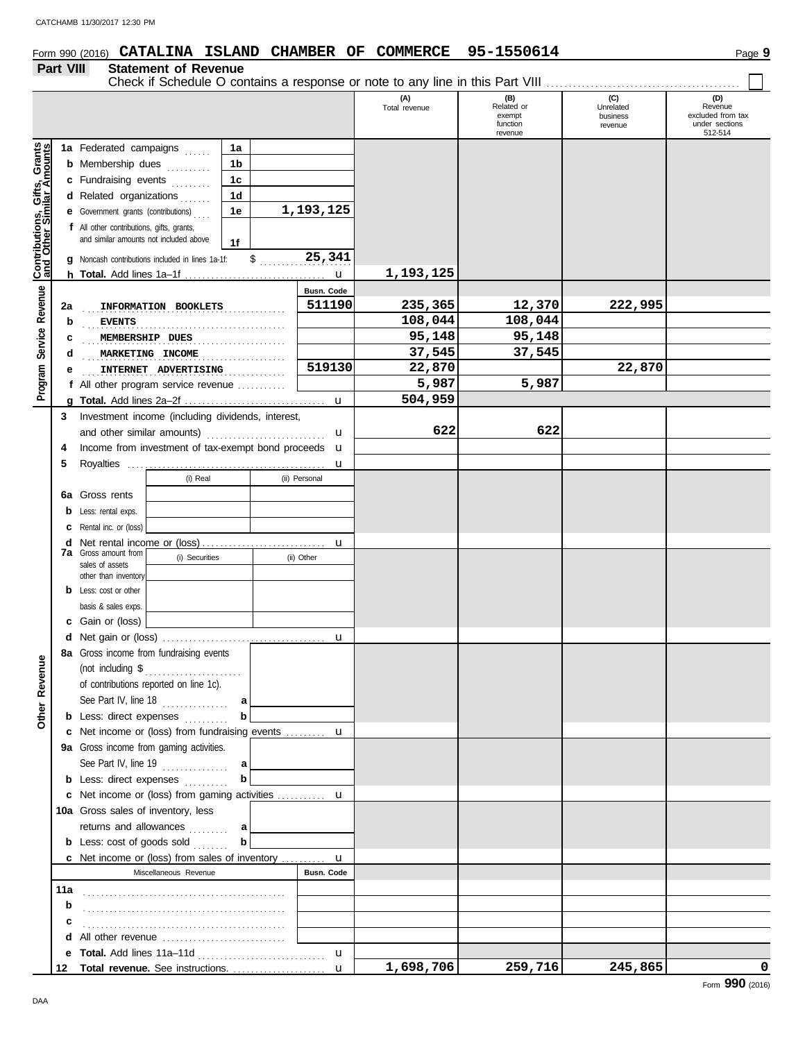# **Form 990 (2016) CATALINA ISLAND CHAMBER OF COMMERCE 95-1550614** Page 9

### **Part VIII Statement of Revenue**

Check if Schedule O contains a response or note to any line in this Part VIII

|                              |     | Check if Schedule O contains a response or note to any line in this Part VIII          |                |                   |                      |                                                    |                                         |                                                                  |
|------------------------------|-----|----------------------------------------------------------------------------------------|----------------|-------------------|----------------------|----------------------------------------------------|-----------------------------------------|------------------------------------------------------------------|
|                              |     |                                                                                        |                |                   | (A)<br>Total revenue | (B)<br>Related or<br>exempt<br>function<br>revenue | (C)<br>Unrelated<br>business<br>revenue | (D)<br>Revenue<br>excluded from tax<br>under sections<br>512-514 |
|                              |     | 1a Federated campaigns                                                                 | 1a             |                   |                      |                                                    |                                         |                                                                  |
| Contributions, Gifts, Grants |     | <b>b</b> Membership dues<br>.                                                          | 1 <sub>b</sub> |                   |                      |                                                    |                                         |                                                                  |
|                              |     | c Fundraising events<br>.                                                              | 1 <sub>c</sub> |                   |                      |                                                    |                                         |                                                                  |
|                              |     | d Related organizations<br>1.1.1.1                                                     | 1 <sub>d</sub> |                   |                      |                                                    |                                         |                                                                  |
|                              |     | e Government grants (contributions)                                                    | 1e             | 1,193,125         |                      |                                                    |                                         |                                                                  |
|                              |     | f All other contributions, gifts, grants,                                              |                |                   |                      |                                                    |                                         |                                                                  |
|                              |     | and similar amounts not included above                                                 | 1f             |                   |                      |                                                    |                                         |                                                                  |
|                              |     | g Noncash contributions included in lines 1a-1f:                                       | $\mathbb{S}$   | 25,341            |                      |                                                    |                                         |                                                                  |
|                              |     |                                                                                        |                | $\mathbf u$       | 1,193,125            |                                                    |                                         |                                                                  |
| Service Revenue              |     |                                                                                        |                | <b>Busn. Code</b> |                      |                                                    |                                         |                                                                  |
|                              | 2a  | INFORMATION BOOKLETS                                                                   |                | 511190            | 235,365              | 12,370                                             | 222,995                                 |                                                                  |
|                              | b   | <b>EVENTS</b>                                                                          |                |                   | 108,044              | 108,044                                            |                                         |                                                                  |
|                              | c   | MEMBERSHIP DUES                                                                        |                |                   | 95,148               | 95,148                                             |                                         |                                                                  |
|                              | d   | MARKETING INCOME                                                                       |                |                   | 37,545               | 37,545                                             |                                         |                                                                  |
|                              | е   | INTERNET ADVERTISING                                                                   |                | 519130            | 22,870               |                                                    | 22,870                                  |                                                                  |
| Program                      |     | f All other program service revenue $\ldots$                                           |                |                   | 5,987                | 5,987                                              |                                         |                                                                  |
|                              |     |                                                                                        |                | $\mathbf u$       | 504,959              |                                                    |                                         |                                                                  |
|                              | 3   | Investment income (including dividends, interest,                                      |                |                   |                      |                                                    |                                         |                                                                  |
|                              |     | and other similar amounts)                                                             |                | u                 | 622                  | 622                                                |                                         |                                                                  |
|                              | 4   | Income from investment of tax-exempt bond proceeds                                     |                | $\mathbf u$       |                      |                                                    |                                         |                                                                  |
|                              | 5   |                                                                                        |                | u                 |                      |                                                    |                                         |                                                                  |
|                              |     | (i) Real                                                                               |                | (ii) Personal     |                      |                                                    |                                         |                                                                  |
|                              | 6a  | Gross rents                                                                            |                |                   |                      |                                                    |                                         |                                                                  |
|                              | b   | Less: rental exps.                                                                     |                |                   |                      |                                                    |                                         |                                                                  |
|                              | с   | Rental inc. or (loss)                                                                  |                |                   |                      |                                                    |                                         |                                                                  |
|                              | d   | <b>7a</b> Gross amount from                                                            |                | $\mathbf u$       |                      |                                                    |                                         |                                                                  |
|                              |     | (i) Securities<br>sales of assets                                                      |                | (ii) Other        |                      |                                                    |                                         |                                                                  |
|                              |     | other than inventory                                                                   |                |                   |                      |                                                    |                                         |                                                                  |
|                              | b   | Less: cost or other                                                                    |                |                   |                      |                                                    |                                         |                                                                  |
|                              |     | basis & sales exps.                                                                    |                |                   |                      |                                                    |                                         |                                                                  |
|                              |     | c Gain or (loss)                                                                       |                |                   |                      |                                                    |                                         |                                                                  |
|                              |     |                                                                                        |                | $\mathbf u$       |                      |                                                    |                                         |                                                                  |
| Φ                            |     | 8a Gross income from fundraising events                                                |                |                   |                      |                                                    |                                         |                                                                  |
|                              |     | (not including \$                                                                      |                |                   |                      |                                                    |                                         |                                                                  |
|                              |     | of contributions reported on line 1c).                                                 |                |                   |                      |                                                    |                                         |                                                                  |
| Other Revenu                 |     | See Part IV, line 18                                                                   | a              |                   |                      |                                                    |                                         |                                                                  |
|                              |     | <b>b</b> Less: direct expenses                                                         |                |                   |                      |                                                    |                                         |                                                                  |
|                              |     | c Net income or (loss) from fundraising events  u                                      |                |                   |                      |                                                    |                                         |                                                                  |
|                              |     | 9a Gross income from gaming activities.                                                |                |                   |                      |                                                    |                                         |                                                                  |
|                              |     | See Part IV, line 19                                                                   | a<br>b         |                   |                      |                                                    |                                         |                                                                  |
|                              |     | <b>b</b> Less: direct expenses                                                         |                |                   |                      |                                                    |                                         |                                                                  |
|                              |     | c Net income or (loss) from gaming activities  u<br>10a Gross sales of inventory, less |                |                   |                      |                                                    |                                         |                                                                  |
|                              |     |                                                                                        |                |                   |                      |                                                    |                                         |                                                                  |
|                              |     | returns and allowances<br><b>b</b> Less: cost of goods sold                            | a<br>b         |                   |                      |                                                    |                                         |                                                                  |
|                              |     | <b>c</b> Net income or (loss) from sales of inventory $\ldots$                         |                | $\mathbf u$       |                      |                                                    |                                         |                                                                  |
|                              |     | Miscellaneous Revenue                                                                  |                | <b>Busn. Code</b> |                      |                                                    |                                         |                                                                  |
|                              | 11a |                                                                                        |                |                   |                      |                                                    |                                         |                                                                  |
|                              | b   |                                                                                        |                |                   |                      |                                                    |                                         |                                                                  |
|                              |     |                                                                                        |                |                   |                      |                                                    |                                         |                                                                  |
|                              |     | d All other revenue                                                                    |                |                   |                      |                                                    |                                         |                                                                  |
|                              | е   |                                                                                        |                | $\mathbf u$       |                      |                                                    |                                         |                                                                  |
|                              | 12  | Total revenue. See instructions.                                                       |                | $\mathbf{u}$      | 1,698,706            | 259,716                                            | 245,865                                 | $\mathbf 0$                                                      |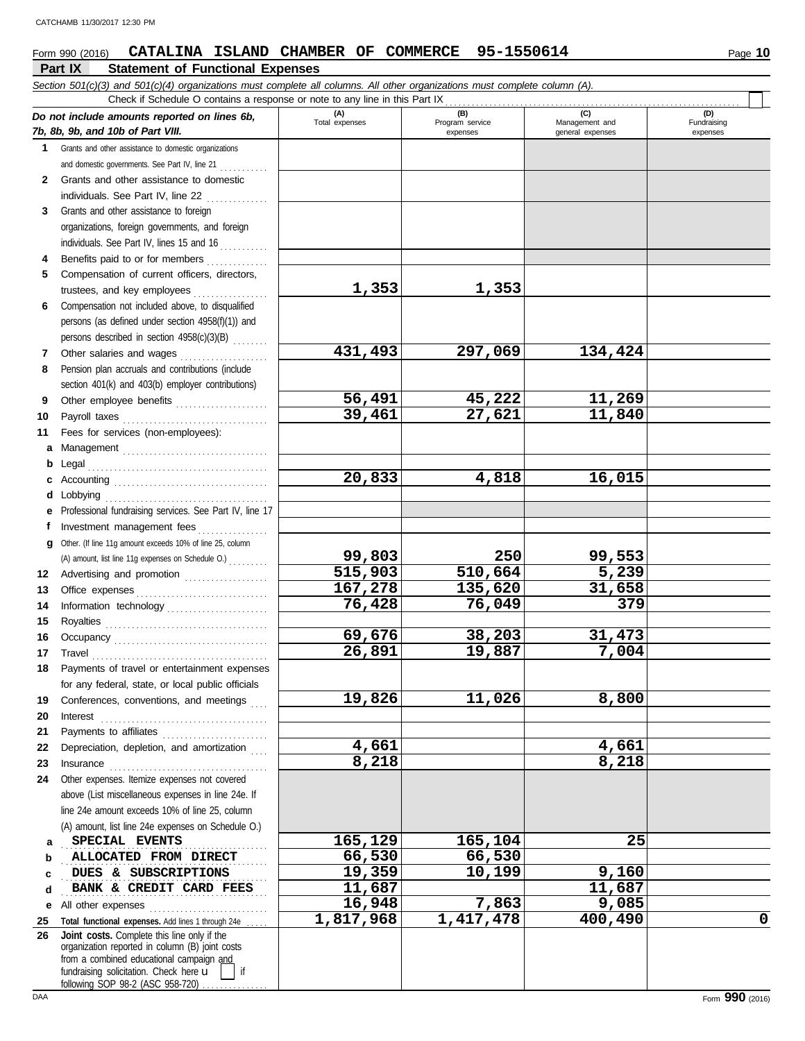## Form 990 (2016) **CATALINA ISLAND CHAMBER OF COMMERCE** 95-1550614 Page 10

|              | Part IX<br><b>Statement of Functional Expenses</b>                                                                                                                                                                                  |                       |                        |                       |                    |
|--------------|-------------------------------------------------------------------------------------------------------------------------------------------------------------------------------------------------------------------------------------|-----------------------|------------------------|-----------------------|--------------------|
|              | Section 501(c)(3) and 501(c)(4) organizations must complete all columns. All other organizations must complete column (A).                                                                                                          |                       |                        |                       |                    |
|              | Check if Schedule O contains a response or note to any line in this Part IX                                                                                                                                                         |                       |                        |                       |                    |
|              | Do not include amounts reported on lines 6b,                                                                                                                                                                                        | (A)<br>Total expenses | (B)<br>Program service | (C)<br>Management and | (D)<br>Fundraising |
|              | 7b, 8b, 9b, and 10b of Part VIII.                                                                                                                                                                                                   |                       | expenses               | general expenses      | expenses           |
| 1            | Grants and other assistance to domestic organizations<br>and domestic governments. See Part IV, line 21                                                                                                                             |                       |                        |                       |                    |
| $\mathbf{2}$ | Grants and other assistance to domestic                                                                                                                                                                                             |                       |                        |                       |                    |
|              | individuals. See Part IV, line 22                                                                                                                                                                                                   |                       |                        |                       |                    |
| 3            | Grants and other assistance to foreign                                                                                                                                                                                              |                       |                        |                       |                    |
|              | organizations, foreign governments, and foreign                                                                                                                                                                                     |                       |                        |                       |                    |
|              | individuals. See Part IV, lines 15 and 16                                                                                                                                                                                           |                       |                        |                       |                    |
| 4            | Benefits paid to or for members                                                                                                                                                                                                     |                       |                        |                       |                    |
| 5            | Compensation of current officers, directors,                                                                                                                                                                                        |                       |                        |                       |                    |
|              | trustees, and key employees                                                                                                                                                                                                         | 1,353                 | 1,353                  |                       |                    |
| 6            | Compensation not included above, to disqualified                                                                                                                                                                                    |                       |                        |                       |                    |
|              | persons (as defined under section 4958(f)(1)) and                                                                                                                                                                                   |                       |                        |                       |                    |
|              | persons described in section 4958(c)(3)(B)                                                                                                                                                                                          |                       |                        |                       |                    |
| 7            | Other salaries and wages                                                                                                                                                                                                            | 431,493               | 297,069                | 134,424               |                    |
| 8            | Pension plan accruals and contributions (include                                                                                                                                                                                    |                       |                        |                       |                    |
|              | section 401(k) and 403(b) employer contributions)                                                                                                                                                                                   |                       |                        |                       |                    |
| 9            | Other employee benefits                                                                                                                                                                                                             | 56,491<br>39,461      | 45,222<br>27,621       | 11,269<br>11,840      |                    |
| 10           | Payroll taxes                                                                                                                                                                                                                       |                       |                        |                       |                    |
| 11           | Fees for services (non-employees):                                                                                                                                                                                                  |                       |                        |                       |                    |
| а<br>b       | Legal                                                                                                                                                                                                                               |                       |                        |                       |                    |
| c            |                                                                                                                                                                                                                                     | 20,833                | 4,818                  | 16,015                |                    |
| d            | obbying                                                                                                                                                                                                                             |                       |                        |                       |                    |
| е            | Professional fundraising services. See Part IV, line 17                                                                                                                                                                             |                       |                        |                       |                    |
| f            | Investment management fees<br>.                                                                                                                                                                                                     |                       |                        |                       |                    |
| a            | Other. (If line 11g amount exceeds 10% of line 25, column                                                                                                                                                                           |                       |                        |                       |                    |
|              | (A) amount, list line 11g expenses on Schedule O.)                                                                                                                                                                                  | 99,803                | 250                    | 99,553                |                    |
| 12           | Advertising and promotion                                                                                                                                                                                                           | 515,903               | 510,664                | $\overline{5,239}$    |                    |
| 13           |                                                                                                                                                                                                                                     | 167,278               | 135,620                | 31,658                |                    |
| 14           | Information technology                                                                                                                                                                                                              | 76,428                | 76,049                 | 379                   |                    |
| 15           |                                                                                                                                                                                                                                     |                       |                        |                       |                    |
| 16           |                                                                                                                                                                                                                                     | 69,676<br>26,891      | 38,203<br>19,887       | 31,473<br>7,004       |                    |
|              | 17 Travel                                                                                                                                                                                                                           |                       |                        |                       |                    |
|              | 18 Payments of travel or entertainment expenses<br>for any federal, state, or local public officials                                                                                                                                |                       |                        |                       |                    |
| 19           | Conferences, conventions, and meetings                                                                                                                                                                                              | 19,826                | 11,026                 | 8,800                 |                    |
| 20           | Interest                                                                                                                                                                                                                            |                       |                        |                       |                    |
| 21           |                                                                                                                                                                                                                                     |                       |                        |                       |                    |
| 22           | Depreciation, depletion, and amortization                                                                                                                                                                                           | 4,661                 |                        | 4,661                 |                    |
| 23           | Insurance <b>continuous</b> contains a series of the series of the series of the series of the series of the series of the series of the series of the series of the series of the series of the series of the series of the series | 8,218                 |                        | 8,218                 |                    |
| 24           | Other expenses. Itemize expenses not covered                                                                                                                                                                                        |                       |                        |                       |                    |
|              | above (List miscellaneous expenses in line 24e. If                                                                                                                                                                                  |                       |                        |                       |                    |
|              | line 24e amount exceeds 10% of line 25, column                                                                                                                                                                                      |                       |                        |                       |                    |
|              | (A) amount, list line 24e expenses on Schedule O.)                                                                                                                                                                                  |                       |                        |                       |                    |
| а            | SPECIAL EVENTS                                                                                                                                                                                                                      | 165,129               | 165,104                | 25                    |                    |
| b            | ALLOCATED FROM DIRECT                                                                                                                                                                                                               | 66,530                | 66,530                 |                       |                    |
| c            | DUES & SUBSCRIPTIONS                                                                                                                                                                                                                | 19,359                | 10,199                 | 9,160                 |                    |
| d            | BANK & CREDIT CARD FEES                                                                                                                                                                                                             | 11,687<br>16,948      | 7,863                  | 11,687<br>9,085       |                    |
| е            | All other expenses<br>Total functional expenses. Add lines 1 through 24e                                                                                                                                                            | 1,817,968             | 1,417,478              | 400,490               | 0                  |
| 25<br>26     | Joint costs. Complete this line only if the                                                                                                                                                                                         |                       |                        |                       |                    |
|              | organization reported in column (B) joint costs                                                                                                                                                                                     |                       |                        |                       |                    |
|              | from a combined educational campaign and<br>fundraising solicitation. Check here u                                                                                                                                                  |                       |                        |                       |                    |

following SOP 98-2 (ASC 958-720) ................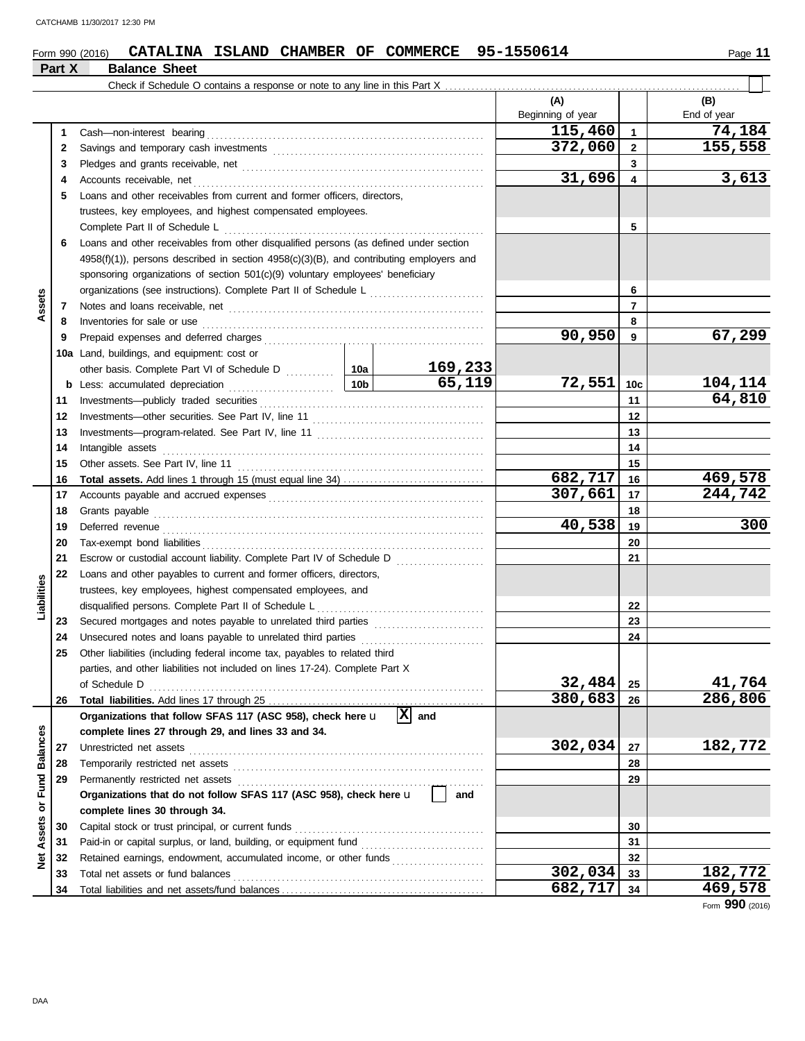#### Form 990 (2016) **CATALINA ISLAND CHAMBER OF COMMERCE** 95-1550614 Page 11 **Part X Balance Sheet**<br>**Part X Balance Sheet**

|                 | <b>Part X</b> | <b>Balance Sneet</b>                                                                    |                 |           |                   |                         |             |
|-----------------|---------------|-----------------------------------------------------------------------------------------|-----------------|-----------|-------------------|-------------------------|-------------|
|                 |               |                                                                                         |                 |           |                   |                         |             |
|                 |               |                                                                                         |                 |           | (A)               |                         | (B)         |
|                 |               |                                                                                         |                 |           | Beginning of year |                         | End of year |
|                 | 1             | Cash-non-interest bearing                                                               |                 |           | 115,460           | $\mathbf{1}$            | 74,184      |
|                 | 2             |                                                                                         |                 |           | 372,060           | $\mathbf{2}$            | 155,558     |
|                 | 3             |                                                                                         |                 |           |                   | 3                       |             |
|                 | 4             | Accounts receivable, net                                                                |                 |           | 31,696            | $\overline{\mathbf{4}}$ | 3,613       |
|                 | 5             | Loans and other receivables from current and former officers, directors,                |                 |           |                   |                         |             |
|                 |               | trustees, key employees, and highest compensated employees.                             |                 |           |                   |                         |             |
|                 |               | Complete Part II of Schedule L                                                          |                 |           |                   | 5                       |             |
|                 | 6             | Loans and other receivables from other disqualified persons (as defined under section   |                 |           |                   |                         |             |
|                 |               | 4958(f)(1)), persons described in section 4958(c)(3)(B), and contributing employers and |                 |           |                   |                         |             |
|                 |               | sponsoring organizations of section 501(c)(9) voluntary employees' beneficiary          |                 |           |                   |                         |             |
|                 |               | organizations (see instructions). Complete Part II of Schedule L                        |                 |           |                   | 6                       |             |
| Assets          | 7             |                                                                                         |                 |           |                   | $\overline{7}$          |             |
|                 | 8             |                                                                                         |                 |           |                   | 8                       |             |
|                 | 9             |                                                                                         |                 |           | 90,950            | 9                       | 67,299      |
|                 |               | 10a Land, buildings, and equipment: cost or                                             |                 |           |                   |                         |             |
|                 |               |                                                                                         |                 | 169,233   |                   |                         |             |
|                 | b             | Less: accumulated depreciation                                                          | 10 <sub>b</sub> | 65,119    | 72,551            | 10 <sub>c</sub>         | 104,114     |
|                 | 11            | Investments-publicly traded securities                                                  |                 |           |                   | 11                      | 64,810      |
|                 | 12            |                                                                                         |                 |           | 12                |                         |             |
|                 | 13            |                                                                                         |                 |           |                   | 13                      |             |
|                 | 14            | Intangible assets                                                                       |                 |           | 14                |                         |             |
|                 | 15            |                                                                                         |                 |           |                   | 15                      |             |
|                 | 16            |                                                                                         |                 |           | 682,717           | 16                      | 469,578     |
|                 | 17            |                                                                                         |                 | 307,661   | 17                | 244,742                 |             |
|                 | 18            | Grants payable                                                                          |                 |           | 18                |                         |             |
|                 | 19            |                                                                                         | 40,538          | 19        | 300               |                         |             |
|                 | 20            | Tax-exempt bond liabilities                                                             |                 | 20        |                   |                         |             |
|                 | 21            | Escrow or custodial account liability. Complete Part IV of Schedule D                   |                 | 21        |                   |                         |             |
|                 | 22            | Loans and other payables to current and former officers, directors,                     |                 |           |                   |                         |             |
| Liabilities     |               | trustees, key employees, highest compensated employees, and                             |                 |           |                   |                         |             |
|                 |               | disqualified persons. Complete Part II of Schedule L                                    |                 |           |                   | 22                      |             |
|                 | 23            |                                                                                         |                 |           |                   | 23                      |             |
|                 | 24            |                                                                                         |                 |           |                   | 24                      |             |
|                 | 25            | Other liabilities (including federal income tax, payables to related third              |                 |           |                   |                         |             |
|                 |               | parties, and other liabilities not included on lines 17-24). Complete Part X            |                 |           |                   |                         |             |
|                 |               | of Schedule D                                                                           | 32,484          | 25        | 41,764            |                         |             |
|                 | 26            |                                                                                         |                 |           | 380,683           | 26                      | 286,806     |
|                 |               | Organizations that follow SFAS 117 (ASC 958), check here u                              |                 | $ X $ and |                   |                         |             |
| <b>Balances</b> |               | complete lines 27 through 29, and lines 33 and 34.                                      |                 |           |                   |                         |             |
|                 | 27            | Unrestricted net assets                                                                 | 302,034         | 27        | 182,772           |                         |             |
|                 | 28            | Temporarily restricted net assets                                                       |                 | 28        |                   |                         |             |
| Fund            | 29            | Permanently restricted net assets                                                       |                 | 29        |                   |                         |             |
|                 |               | Organizations that do not follow SFAS 117 (ASC 958), check here u                       |                 |           |                   |                         |             |
| ৯               |               | complete lines 30 through 34.                                                           |                 |           |                   |                         |             |
| Assets          | 30            | Capital stock or trust principal, or current funds                                      |                 |           | 30                |                         |             |
|                 | 31            |                                                                                         |                 |           | 31                |                         |             |
| ğ               | 32            | Retained earnings, endowment, accumulated income, or other funds                        |                 |           |                   | 32                      |             |
|                 | 33            | Total net assets or fund balances                                                       |                 |           | 302,034           | 33                      | 182,772     |
|                 | 34            |                                                                                         |                 |           | 682,717           | 34                      | 469,578     |

Form **990** (2016)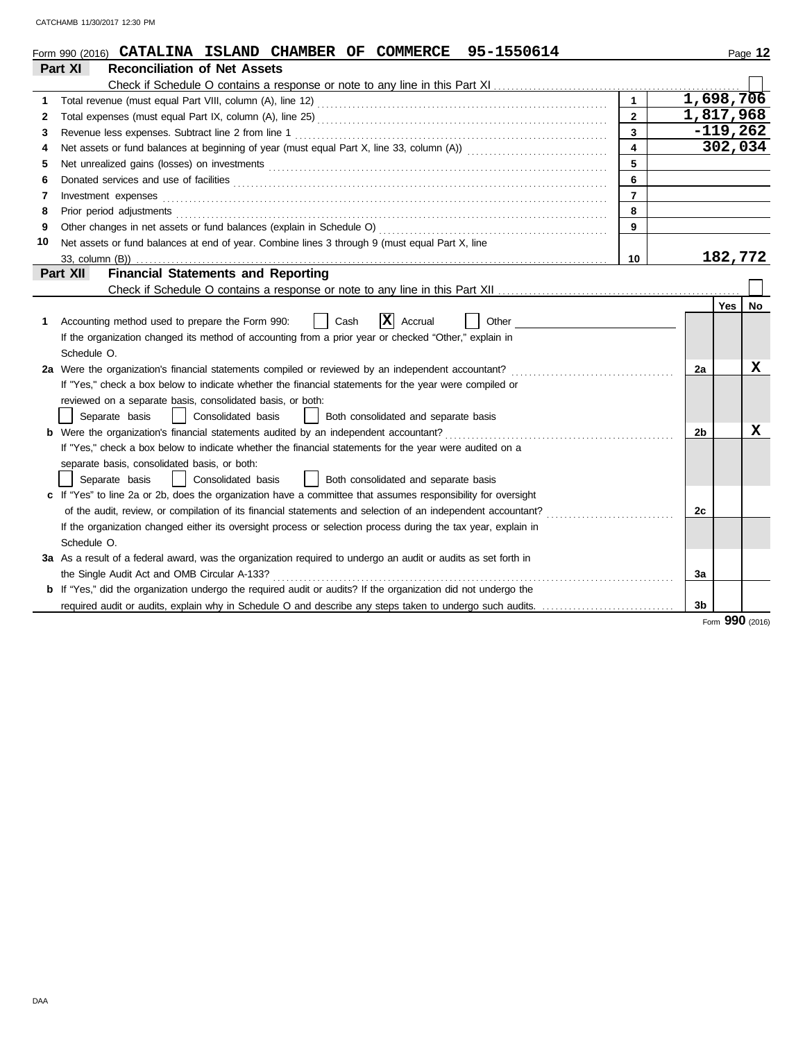|    | Form 990 (2016) CATALINA ISLAND CHAMBER OF COMMERCE 95-1550614                                                                                                                                                                           |                | Page 12         |  |
|----|------------------------------------------------------------------------------------------------------------------------------------------------------------------------------------------------------------------------------------------|----------------|-----------------|--|
|    | Part XI<br><b>Reconciliation of Net Assets</b>                                                                                                                                                                                           |                |                 |  |
|    | Check if Schedule O contains a response or note to any line in this Part XI                                                                                                                                                              |                |                 |  |
|    | $\blacktriangleleft$                                                                                                                                                                                                                     |                | 1,698,706       |  |
| 2  | $\overline{2}$                                                                                                                                                                                                                           |                | 1,817,968       |  |
| 3  | 3                                                                                                                                                                                                                                        |                | $-119,262$      |  |
| 4  | 4                                                                                                                                                                                                                                        | 302,034        |                 |  |
| 5  | 5                                                                                                                                                                                                                                        |                |                 |  |
| 6  | 6<br>Donated services and use of facilities <b>constructs</b> and the service of the service of the services and use of facilities                                                                                                       |                |                 |  |
| 7  | $\overline{7}$<br>Investment expenses <b>contract and the expenses</b>                                                                                                                                                                   |                |                 |  |
| 8  | 8<br>Prior period adjustments <b>constructs</b> and construct of the construction of the construction of the construction of the construction of the construction of the construction of the construction of the construction of the con |                |                 |  |
| 9  | 9                                                                                                                                                                                                                                        |                |                 |  |
| 10 | Net assets or fund balances at end of year. Combine lines 3 through 9 (must equal Part X, line                                                                                                                                           |                |                 |  |
|    | 10<br>33, column (B))                                                                                                                                                                                                                    |                | 182,772         |  |
|    | <b>Financial Statements and Reporting</b><br>Part XII                                                                                                                                                                                    |                |                 |  |
|    |                                                                                                                                                                                                                                          |                |                 |  |
|    |                                                                                                                                                                                                                                          | Yes            | No              |  |
| 1  | ΙXΙ<br>Accounting method used to prepare the Form 990:<br>Accrual<br>Other<br>Cash                                                                                                                                                       |                |                 |  |
|    | If the organization changed its method of accounting from a prior year or checked "Other," explain in                                                                                                                                    |                |                 |  |
|    | Schedule O.                                                                                                                                                                                                                              |                |                 |  |
|    | 2a Were the organization's financial statements compiled or reviewed by an independent accountant?                                                                                                                                       | 2a             | х               |  |
|    | If "Yes," check a box below to indicate whether the financial statements for the year were compiled or                                                                                                                                   |                |                 |  |
|    | reviewed on a separate basis, consolidated basis, or both:                                                                                                                                                                               |                |                 |  |
|    | Consolidated basis<br>Separate basis<br>Both consolidated and separate basis                                                                                                                                                             |                |                 |  |
|    | <b>b</b> Were the organization's financial statements audited by an independent accountant?                                                                                                                                              | 2b             | х               |  |
|    | If "Yes," check a box below to indicate whether the financial statements for the year were audited on a                                                                                                                                  |                |                 |  |
|    | separate basis, consolidated basis, or both:                                                                                                                                                                                             |                |                 |  |
|    | Both consolidated and separate basis<br>Separate basis<br>Consolidated basis                                                                                                                                                             |                |                 |  |
|    | c If "Yes" to line 2a or 2b, does the organization have a committee that assumes responsibility for oversight                                                                                                                            |                |                 |  |
|    | of the audit, review, or compilation of its financial statements and selection of an independent accountant?                                                                                                                             | 2c             |                 |  |
|    | If the organization changed either its oversight process or selection process during the tax year, explain in                                                                                                                            |                |                 |  |
|    | Schedule O.                                                                                                                                                                                                                              |                |                 |  |
|    | 3a As a result of a federal award, was the organization required to undergo an audit or audits as set forth in                                                                                                                           |                |                 |  |
|    | the Single Audit Act and OMB Circular A-133?                                                                                                                                                                                             | За             |                 |  |
|    | <b>b</b> If "Yes," did the organization undergo the required audit or audits? If the organization did not undergo the                                                                                                                    |                |                 |  |
|    | required audit or audits, explain why in Schedule O and describe any steps taken to undergo such audits.                                                                                                                                 | 3 <sub>b</sub> |                 |  |
|    |                                                                                                                                                                                                                                          |                | Form 990 (2016) |  |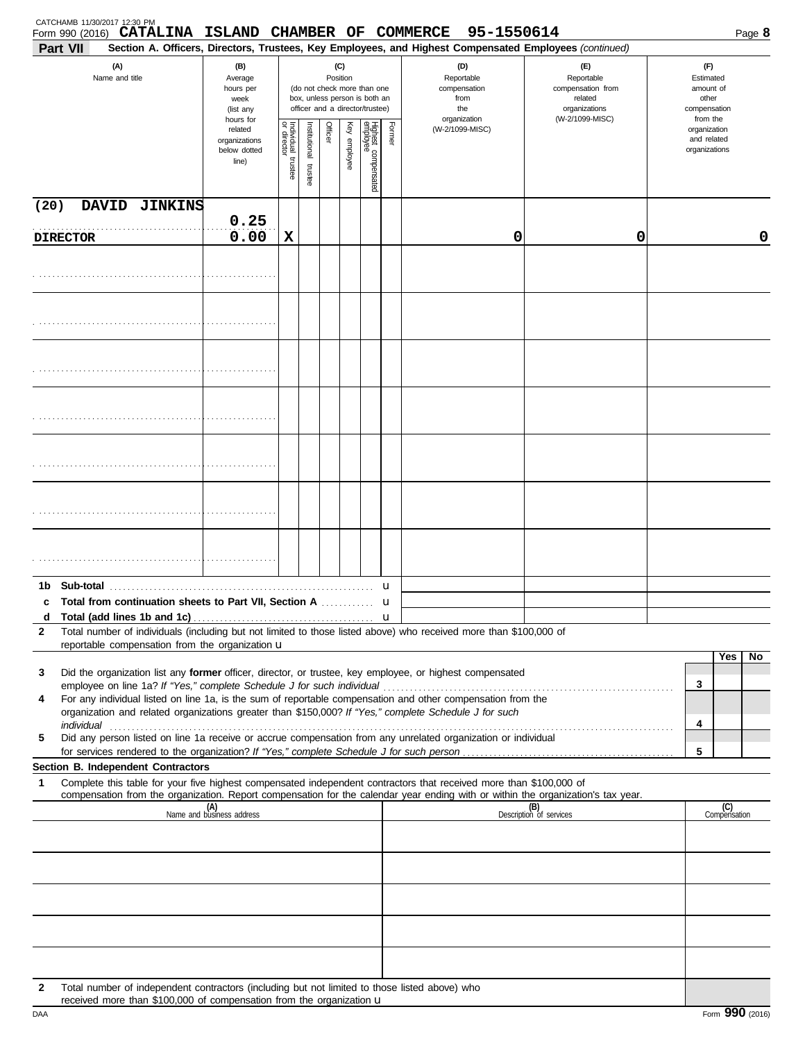| <b>Part VII</b> | CATCHAMB 11/30/2017 12:30 PM<br>Form 990 (2016) CATALINA ISLAND CHAMBER OF COMMERCE                                                                                                                                                                                                                                              |                                                                |                         |                         |                 |                 |                                                                                                 |             | 95-1550614<br>Section A. Officers, Directors, Trustees, Key Employees, and Highest Compensated Employees (continued) |                                                                                       |        | Page 8                                                             |
|-----------------|----------------------------------------------------------------------------------------------------------------------------------------------------------------------------------------------------------------------------------------------------------------------------------------------------------------------------------|----------------------------------------------------------------|-------------------------|-------------------------|-----------------|-----------------|-------------------------------------------------------------------------------------------------|-------------|----------------------------------------------------------------------------------------------------------------------|---------------------------------------------------------------------------------------|--------|--------------------------------------------------------------------|
|                 | (A)<br>Name and title                                                                                                                                                                                                                                                                                                            | (B)<br>Average<br>hours per<br>week<br>(list any               |                         |                         | (C)<br>Position |                 | (do not check more than one<br>box, unless person is both an<br>officer and a director/trustee) |             | (D)<br>Reportable<br>compensation<br>from<br>the<br>organization                                                     | (E)<br>Reportable<br>compensation from<br>related<br>organizations<br>(W-2/1099-MISC) |        | (F)<br>Estimated<br>amount of<br>other<br>compensation<br>from the |
|                 |                                                                                                                                                                                                                                                                                                                                  | hours for<br>related<br>organizations<br>below dotted<br>line) | Individual 1<br>trustee | nstitutional<br>trustee | Officer         | Ķey<br>employee | Highest compensated<br>employee                                                                 | Former      | (W-2/1099-MISC)                                                                                                      |                                                                                       |        | organization<br>and related<br>organizations                       |
| (20)            | DAVID JINKINS                                                                                                                                                                                                                                                                                                                    |                                                                |                         |                         |                 |                 |                                                                                                 |             |                                                                                                                      |                                                                                       |        |                                                                    |
|                 | <b>DIRECTOR</b>                                                                                                                                                                                                                                                                                                                  | 0.25<br>0.00                                                   | X                       |                         |                 |                 |                                                                                                 |             | 0                                                                                                                    | 0                                                                                     |        | 0                                                                  |
|                 |                                                                                                                                                                                                                                                                                                                                  |                                                                |                         |                         |                 |                 |                                                                                                 |             |                                                                                                                      |                                                                                       |        |                                                                    |
|                 |                                                                                                                                                                                                                                                                                                                                  |                                                                |                         |                         |                 |                 |                                                                                                 |             |                                                                                                                      |                                                                                       |        |                                                                    |
|                 |                                                                                                                                                                                                                                                                                                                                  |                                                                |                         |                         |                 |                 |                                                                                                 |             |                                                                                                                      |                                                                                       |        |                                                                    |
|                 |                                                                                                                                                                                                                                                                                                                                  |                                                                |                         |                         |                 |                 |                                                                                                 |             |                                                                                                                      |                                                                                       |        |                                                                    |
|                 |                                                                                                                                                                                                                                                                                                                                  |                                                                |                         |                         |                 |                 |                                                                                                 |             |                                                                                                                      |                                                                                       |        |                                                                    |
|                 |                                                                                                                                                                                                                                                                                                                                  |                                                                |                         |                         |                 |                 |                                                                                                 |             |                                                                                                                      |                                                                                       |        |                                                                    |
|                 |                                                                                                                                                                                                                                                                                                                                  |                                                                |                         |                         |                 |                 |                                                                                                 |             |                                                                                                                      |                                                                                       |        |                                                                    |
| 1b.<br>c<br>d   | Sub-total<br><b>Total from continuation sheets to Part VII, Section A</b>                                                                                                                                                                                                                                                        |                                                                |                         |                         |                 |                 |                                                                                                 | u<br>u<br>u |                                                                                                                      |                                                                                       |        |                                                                    |
| $\mathbf{2}$    | Total number of individuals (including but not limited to those listed above) who received more than \$100,000 of<br>reportable compensation from the organization u                                                                                                                                                             |                                                                |                         |                         |                 |                 |                                                                                                 |             |                                                                                                                      |                                                                                       |        |                                                                    |
| 3<br>4          | Did the organization list any former officer, director, or trustee, key employee, or highest compensated<br>For any individual listed on line 1a, is the sum of reportable compensation and other compensation from the<br>organization and related organizations greater than \$150,000? If "Yes," complete Schedule J for such |                                                                |                         |                         |                 |                 |                                                                                                 |             |                                                                                                                      |                                                                                       | 3<br>4 | Yes<br>No                                                          |
| 5               | Did any person listed on line 1a receive or accrue compensation from any unrelated organization or individual                                                                                                                                                                                                                    |                                                                |                         |                         |                 |                 |                                                                                                 |             |                                                                                                                      |                                                                                       | 5      |                                                                    |
| 1               | Section B. Independent Contractors<br>Complete this table for your five highest compensated independent contractors that received more than \$100,000 of                                                                                                                                                                         |                                                                |                         |                         |                 |                 |                                                                                                 |             |                                                                                                                      |                                                                                       |        |                                                                    |
|                 | compensation from the organization. Report compensation for the calendar year ending with or within the organization's tax year.                                                                                                                                                                                                 | (A)<br>Name and business address                               |                         |                         |                 |                 |                                                                                                 |             |                                                                                                                      | (B)<br>Description of services                                                        |        | (C)<br>Compensation                                                |
|                 |                                                                                                                                                                                                                                                                                                                                  |                                                                |                         |                         |                 |                 |                                                                                                 |             |                                                                                                                      |                                                                                       |        |                                                                    |
|                 |                                                                                                                                                                                                                                                                                                                                  |                                                                |                         |                         |                 |                 |                                                                                                 |             |                                                                                                                      |                                                                                       |        |                                                                    |
|                 |                                                                                                                                                                                                                                                                                                                                  |                                                                |                         |                         |                 |                 |                                                                                                 |             |                                                                                                                      |                                                                                       |        |                                                                    |
|                 |                                                                                                                                                                                                                                                                                                                                  |                                                                |                         |                         |                 |                 |                                                                                                 |             |                                                                                                                      |                                                                                       |        |                                                                    |
|                 |                                                                                                                                                                                                                                                                                                                                  |                                                                |                         |                         |                 |                 |                                                                                                 |             |                                                                                                                      |                                                                                       |        |                                                                    |
| 2               | Total number of independent contractors (including but not limited to those listed above) who<br>received more than \$100,000 of compensation from the organization u                                                                                                                                                            |                                                                |                         |                         |                 |                 |                                                                                                 |             |                                                                                                                      |                                                                                       |        |                                                                    |

| ٦ |  |  |
|---|--|--|
|   |  |  |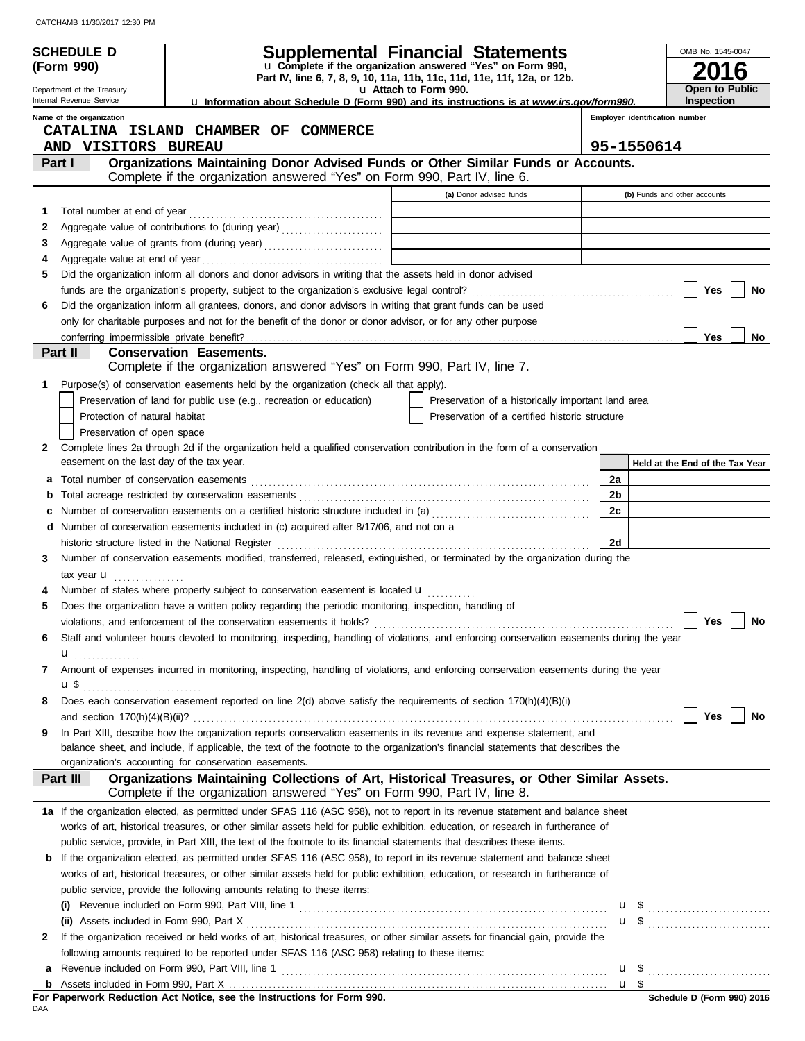|    | <b>SCHEDULE D</b>                         |                                                                                                                                                                                                                                                           | Supplemental Financial Statements                                                                                                      |    |                                | OMB No. 1545-0047 |                                 |
|----|-------------------------------------------|-----------------------------------------------------------------------------------------------------------------------------------------------------------------------------------------------------------------------------------------------------------|----------------------------------------------------------------------------------------------------------------------------------------|----|--------------------------------|-------------------|---------------------------------|
|    | (Form 990)                                |                                                                                                                                                                                                                                                           | u Complete if the organization answered "Yes" on Form 990,<br>Part IV, line 6, 7, 8, 9, 10, 11a, 11b, 11c, 11d, 11e, 11f, 12a, or 12b. |    |                                |                   | 16                              |
|    | Department of the Treasury                |                                                                                                                                                                                                                                                           | u Attach to Form 990.                                                                                                                  |    |                                |                   | Open to Public                  |
|    | Internal Revenue Service                  |                                                                                                                                                                                                                                                           | <b>u</b> Information about Schedule D (Form 990) and its instructions is at www.irs.gov/form990.                                       |    |                                | Inspection        |                                 |
|    | Name of the organization                  |                                                                                                                                                                                                                                                           |                                                                                                                                        |    | Employer identification number |                   |                                 |
|    | AND VISITORS BUREAU                       | CATALINA ISLAND CHAMBER OF COMMERCE                                                                                                                                                                                                                       |                                                                                                                                        |    | 95-1550614                     |                   |                                 |
|    | Part I                                    | Organizations Maintaining Donor Advised Funds or Other Similar Funds or Accounts.                                                                                                                                                                         |                                                                                                                                        |    |                                |                   |                                 |
|    |                                           | Complete if the organization answered "Yes" on Form 990, Part IV, line 6.                                                                                                                                                                                 |                                                                                                                                        |    |                                |                   |                                 |
|    |                                           |                                                                                                                                                                                                                                                           | (a) Donor advised funds                                                                                                                |    | (b) Funds and other accounts   |                   |                                 |
| 1  | Total number at end of year               |                                                                                                                                                                                                                                                           |                                                                                                                                        |    |                                |                   |                                 |
| 2  |                                           | Aggregate value of contributions to (during year)                                                                                                                                                                                                         |                                                                                                                                        |    |                                |                   |                                 |
| 3  |                                           |                                                                                                                                                                                                                                                           |                                                                                                                                        |    |                                |                   |                                 |
| 4  |                                           |                                                                                                                                                                                                                                                           |                                                                                                                                        |    |                                |                   |                                 |
| 5  |                                           | Did the organization inform all donors and donor advisors in writing that the assets held in donor advised                                                                                                                                                |                                                                                                                                        |    |                                |                   |                                 |
|    |                                           |                                                                                                                                                                                                                                                           |                                                                                                                                        |    |                                | Yes               | No                              |
| 6  |                                           | Did the organization inform all grantees, donors, and donor advisors in writing that grant funds can be used                                                                                                                                              |                                                                                                                                        |    |                                |                   |                                 |
|    |                                           | only for charitable purposes and not for the benefit of the donor or donor advisor, or for any other purpose                                                                                                                                              |                                                                                                                                        |    |                                | <b>Yes</b>        | No                              |
|    | Part II                                   | <b>Conservation Easements.</b>                                                                                                                                                                                                                            |                                                                                                                                        |    |                                |                   |                                 |
|    |                                           | Complete if the organization answered "Yes" on Form 990, Part IV, line 7.                                                                                                                                                                                 |                                                                                                                                        |    |                                |                   |                                 |
| 1. |                                           | Purpose(s) of conservation easements held by the organization (check all that apply).                                                                                                                                                                     |                                                                                                                                        |    |                                |                   |                                 |
|    |                                           | Preservation of land for public use (e.g., recreation or education)                                                                                                                                                                                       | Preservation of a historically important land area                                                                                     |    |                                |                   |                                 |
|    | Protection of natural habitat             |                                                                                                                                                                                                                                                           | Preservation of a certified historic structure                                                                                         |    |                                |                   |                                 |
|    | Preservation of open space                |                                                                                                                                                                                                                                                           |                                                                                                                                        |    |                                |                   |                                 |
| 2  |                                           | Complete lines 2a through 2d if the organization held a qualified conservation contribution in the form of a conservation                                                                                                                                 |                                                                                                                                        |    |                                |                   |                                 |
|    | easement on the last day of the tax year. |                                                                                                                                                                                                                                                           |                                                                                                                                        |    |                                |                   | Held at the End of the Tax Year |
| а  |                                           |                                                                                                                                                                                                                                                           |                                                                                                                                        | 2a |                                |                   |                                 |
| b  |                                           |                                                                                                                                                                                                                                                           |                                                                                                                                        | 2b |                                |                   |                                 |
| c  |                                           | Number of conservation easements on a certified historic structure included in (a) [[[[[[[[[[[[[[[[[[[[[[[[[]]]]]]]                                                                                                                                       |                                                                                                                                        | 2c |                                |                   |                                 |
|    |                                           | d Number of conservation easements included in (c) acquired after 8/17/06, and not on a<br>historic structure listed in the National Register                                                                                                             |                                                                                                                                        |    |                                |                   |                                 |
| 3  |                                           | Number of conservation easements modified, transferred, released, extinguished, or terminated by the organization during the                                                                                                                              |                                                                                                                                        | 2d |                                |                   |                                 |
|    | tax year <b>u</b>                         |                                                                                                                                                                                                                                                           |                                                                                                                                        |    |                                |                   |                                 |
|    | .                                         | Number of states where property subject to conservation easement is located <b>u</b>                                                                                                                                                                      |                                                                                                                                        |    |                                |                   |                                 |
| 5  |                                           | Does the organization have a written policy regarding the periodic monitoring, inspection, handling of                                                                                                                                                    |                                                                                                                                        |    |                                |                   |                                 |
|    |                                           | violations, and enforcement of the conservation easements it holds?                                                                                                                                                                                       |                                                                                                                                        |    |                                |                   | Yes $ $<br>∣ No                 |
| 6  |                                           | Staff and volunteer hours devoted to monitoring, inspecting, handling of violations, and enforcing conservation easements during the year                                                                                                                 |                                                                                                                                        |    |                                |                   |                                 |
|    | u                                         |                                                                                                                                                                                                                                                           |                                                                                                                                        |    |                                |                   |                                 |
| 7  |                                           | Amount of expenses incurred in monitoring, inspecting, handling of violations, and enforcing conservation easements during the year                                                                                                                       |                                                                                                                                        |    |                                |                   |                                 |
|    |                                           |                                                                                                                                                                                                                                                           |                                                                                                                                        |    |                                |                   |                                 |
| 8  |                                           | Does each conservation easement reported on line 2(d) above satisfy the requirements of section 170(h)(4)(B)(i)                                                                                                                                           |                                                                                                                                        |    |                                |                   |                                 |
|    |                                           |                                                                                                                                                                                                                                                           |                                                                                                                                        |    |                                |                   | Yes $\vert$ $\vert$<br>No       |
| 9  |                                           | In Part XIII, describe how the organization reports conservation easements in its revenue and expense statement, and<br>balance sheet, and include, if applicable, the text of the footnote to the organization's financial statements that describes the |                                                                                                                                        |    |                                |                   |                                 |
|    |                                           | organization's accounting for conservation easements.                                                                                                                                                                                                     |                                                                                                                                        |    |                                |                   |                                 |
|    | Part III                                  | Organizations Maintaining Collections of Art, Historical Treasures, or Other Similar Assets.                                                                                                                                                              |                                                                                                                                        |    |                                |                   |                                 |
|    |                                           | Complete if the organization answered "Yes" on Form 990, Part IV, line 8.                                                                                                                                                                                 |                                                                                                                                        |    |                                |                   |                                 |
|    |                                           | 1a If the organization elected, as permitted under SFAS 116 (ASC 958), not to report in its revenue statement and balance sheet                                                                                                                           |                                                                                                                                        |    |                                |                   |                                 |
|    |                                           | works of art, historical treasures, or other similar assets held for public exhibition, education, or research in furtherance of                                                                                                                          |                                                                                                                                        |    |                                |                   |                                 |
|    |                                           | public service, provide, in Part XIII, the text of the footnote to its financial statements that describes these items.                                                                                                                                   |                                                                                                                                        |    |                                |                   |                                 |
| b  |                                           | If the organization elected, as permitted under SFAS 116 (ASC 958), to report in its revenue statement and balance sheet                                                                                                                                  |                                                                                                                                        |    |                                |                   |                                 |
|    |                                           | works of art, historical treasures, or other similar assets held for public exhibition, education, or research in furtherance of                                                                                                                          |                                                                                                                                        |    |                                |                   |                                 |
|    |                                           | public service, provide the following amounts relating to these items:                                                                                                                                                                                    |                                                                                                                                        |    |                                |                   |                                 |
|    |                                           |                                                                                                                                                                                                                                                           |                                                                                                                                        |    |                                |                   |                                 |
|    |                                           |                                                                                                                                                                                                                                                           |                                                                                                                                        |    |                                |                   | $\mathbf{u}$ \$ $\ldots$        |
| 2  |                                           | If the organization received or held works of art, historical treasures, or other similar assets for financial gain, provide the<br>following amounts required to be reported under SFAS 116 (ASC 958) relating to these items:                           |                                                                                                                                        |    |                                |                   |                                 |
| а  |                                           |                                                                                                                                                                                                                                                           |                                                                                                                                        |    |                                |                   |                                 |
| b  |                                           |                                                                                                                                                                                                                                                           |                                                                                                                                        |    |                                |                   |                                 |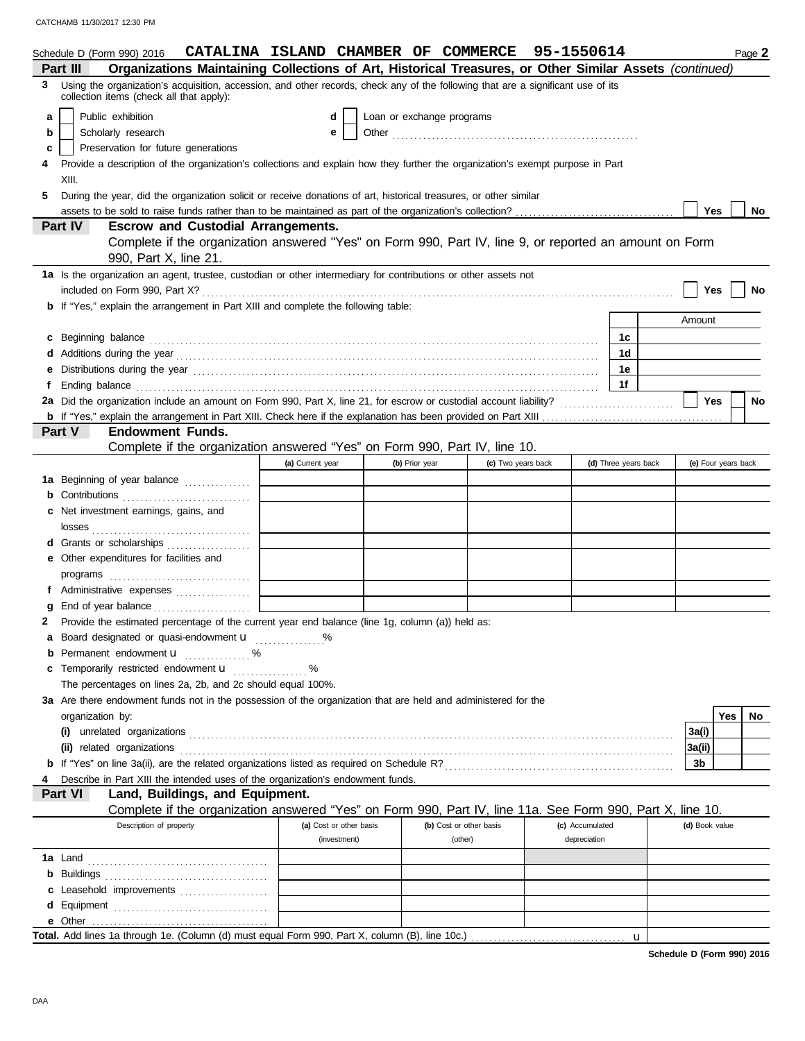|   | Schedule D (Form 990) 2016                                                                                                                                                                                                     | CATALINA ISLAND CHAMBER OF COMMERCE 95-1550614 |                           |                         |                    |                      |                     |     | Page 2 |
|---|--------------------------------------------------------------------------------------------------------------------------------------------------------------------------------------------------------------------------------|------------------------------------------------|---------------------------|-------------------------|--------------------|----------------------|---------------------|-----|--------|
|   | Organizations Maintaining Collections of Art, Historical Treasures, or Other Similar Assets (continued)<br>Part III                                                                                                            |                                                |                           |                         |                    |                      |                     |     |        |
| 3 | Using the organization's acquisition, accession, and other records, check any of the following that are a significant use of its<br>collection items (check all that apply):                                                   |                                                |                           |                         |                    |                      |                     |     |        |
| a | Public exhibition                                                                                                                                                                                                              | d                                              | Loan or exchange programs |                         |                    |                      |                     |     |        |
| b | Scholarly research                                                                                                                                                                                                             | е                                              |                           |                         |                    |                      |                     |     |        |
| с | Preservation for future generations                                                                                                                                                                                            |                                                |                           |                         |                    |                      |                     |     |        |
|   | Provide a description of the organization's collections and explain how they further the organization's exempt purpose in Part                                                                                                 |                                                |                           |                         |                    |                      |                     |     |        |
|   | XIII.                                                                                                                                                                                                                          |                                                |                           |                         |                    |                      |                     |     |        |
| 5 | During the year, did the organization solicit or receive donations of art, historical treasures, or other similar                                                                                                              |                                                |                           |                         |                    |                      |                     |     |        |
|   |                                                                                                                                                                                                                                |                                                |                           |                         |                    |                      | Yes                 |     | No     |
|   | <b>Part IV</b><br><b>Escrow and Custodial Arrangements.</b>                                                                                                                                                                    |                                                |                           |                         |                    |                      |                     |     |        |
|   | Complete if the organization answered "Yes" on Form 990, Part IV, line 9, or reported an amount on Form                                                                                                                        |                                                |                           |                         |                    |                      |                     |     |        |
|   | 990, Part X, line 21.                                                                                                                                                                                                          |                                                |                           |                         |                    |                      |                     |     |        |
|   | 1a Is the organization an agent, trustee, custodian or other intermediary for contributions or other assets not                                                                                                                |                                                |                           |                         |                    |                      |                     |     |        |
|   |                                                                                                                                                                                                                                |                                                |                           |                         |                    |                      | Yes                 |     | No     |
|   | <b>b</b> If "Yes," explain the arrangement in Part XIII and complete the following table:                                                                                                                                      |                                                |                           |                         |                    |                      |                     |     |        |
|   |                                                                                                                                                                                                                                |                                                |                           |                         |                    |                      | Amount              |     |        |
| c | Beginning balance                                                                                                                                                                                                              |                                                |                           |                         |                    | 1c                   |                     |     |        |
|   |                                                                                                                                                                                                                                |                                                |                           |                         |                    | 1 <sub>d</sub>       |                     |     |        |
|   |                                                                                                                                                                                                                                |                                                |                           |                         |                    | 1e                   |                     |     |        |
|   | Ending balance with a continuum control of the control of the control of the control of the control of the control of the control of the control of the control of the control of the control of the control of the control of |                                                |                           |                         |                    | 1f                   |                     |     |        |
|   | 2a Did the organization include an amount on Form 990, Part X, line 21, for escrow or custodial account liability?                                                                                                             |                                                |                           |                         |                    |                      | <b>Yes</b>          |     | No     |
|   |                                                                                                                                                                                                                                |                                                |                           |                         |                    |                      |                     |     |        |
|   | Part V<br><b>Endowment Funds.</b>                                                                                                                                                                                              |                                                |                           |                         |                    |                      |                     |     |        |
|   | Complete if the organization answered "Yes" on Form 990, Part IV, line 10.                                                                                                                                                     |                                                |                           |                         |                    |                      |                     |     |        |
|   |                                                                                                                                                                                                                                | (a) Current year                               | (b) Prior year            |                         | (c) Two years back | (d) Three years back | (e) Four years back |     |        |
|   | 1a Beginning of year balance                                                                                                                                                                                                   |                                                |                           |                         |                    |                      |                     |     |        |
|   | Contributions <b>Contributions</b>                                                                                                                                                                                             |                                                |                           |                         |                    |                      |                     |     |        |
|   | Net investment earnings, gains, and                                                                                                                                                                                            |                                                |                           |                         |                    |                      |                     |     |        |
|   |                                                                                                                                                                                                                                |                                                |                           |                         |                    |                      |                     |     |        |
|   | Grants or scholarships                                                                                                                                                                                                         |                                                |                           |                         |                    |                      |                     |     |        |
|   | Other expenditures for facilities and                                                                                                                                                                                          |                                                |                           |                         |                    |                      |                     |     |        |
|   | programs                                                                                                                                                                                                                       |                                                |                           |                         |                    |                      |                     |     |        |
|   | f Administrative expenses                                                                                                                                                                                                      |                                                |                           |                         |                    |                      |                     |     |        |
|   |                                                                                                                                                                                                                                |                                                |                           |                         |                    |                      |                     |     |        |
|   | 2 Provide the estimated percentage of the current year end balance (line 1g, column (a)) held as:                                                                                                                              |                                                |                           |                         |                    |                      |                     |     |        |
| a | Board designated or quasi-endowment <b>u</b> %                                                                                                                                                                                 |                                                |                           |                         |                    |                      |                     |     |        |
| b | Permanent endowment u<br>. %                                                                                                                                                                                                   |                                                |                           |                         |                    |                      |                     |     |        |
|   | Temporarily restricted endowment <b>u</b>                                                                                                                                                                                      |                                                |                           |                         |                    |                      |                     |     |        |
|   | The percentages on lines 2a, 2b, and 2c should equal 100%.                                                                                                                                                                     |                                                |                           |                         |                    |                      |                     |     |        |
|   | 3a Are there endowment funds not in the possession of the organization that are held and administered for the                                                                                                                  |                                                |                           |                         |                    |                      |                     |     |        |
|   | organization by:                                                                                                                                                                                                               |                                                |                           |                         |                    |                      |                     | Yes | No.    |
|   |                                                                                                                                                                                                                                |                                                |                           |                         |                    |                      | 3a(i)               |     |        |
|   | (ii) related organizations                                                                                                                                                                                                     |                                                |                           |                         |                    |                      | 3a(ii)              |     |        |
|   |                                                                                                                                                                                                                                |                                                |                           |                         |                    |                      | 3b                  |     |        |
|   | Describe in Part XIII the intended uses of the organization's endowment funds.                                                                                                                                                 |                                                |                           |                         |                    |                      |                     |     |        |
|   | Land, Buildings, and Equipment.<br><b>Part VI</b>                                                                                                                                                                              |                                                |                           |                         |                    |                      |                     |     |        |
|   | Complete if the organization answered "Yes" on Form 990, Part IV, line 11a. See Form 990, Part X, line 10.                                                                                                                     |                                                |                           |                         |                    |                      |                     |     |        |
|   | Description of property                                                                                                                                                                                                        | (a) Cost or other basis                        |                           | (b) Cost or other basis | (c) Accumulated    |                      | (d) Book value      |     |        |
|   |                                                                                                                                                                                                                                | (investment)                                   |                           | (other)                 | depreciation       |                      |                     |     |        |
|   | <b>1a</b> Land                                                                                                                                                                                                                 |                                                |                           |                         |                    |                      |                     |     |        |
|   | <b>b</b> Buildings                                                                                                                                                                                                             |                                                |                           |                         |                    |                      |                     |     |        |
|   | c Leasehold improvements                                                                                                                                                                                                       |                                                |                           |                         |                    |                      |                     |     |        |
|   |                                                                                                                                                                                                                                |                                                |                           |                         |                    |                      |                     |     |        |
|   |                                                                                                                                                                                                                                |                                                |                           |                         |                    |                      |                     |     |        |
|   |                                                                                                                                                                                                                                |                                                |                           |                         |                    | u                    |                     |     |        |

**Schedule D (Form 990) 2016**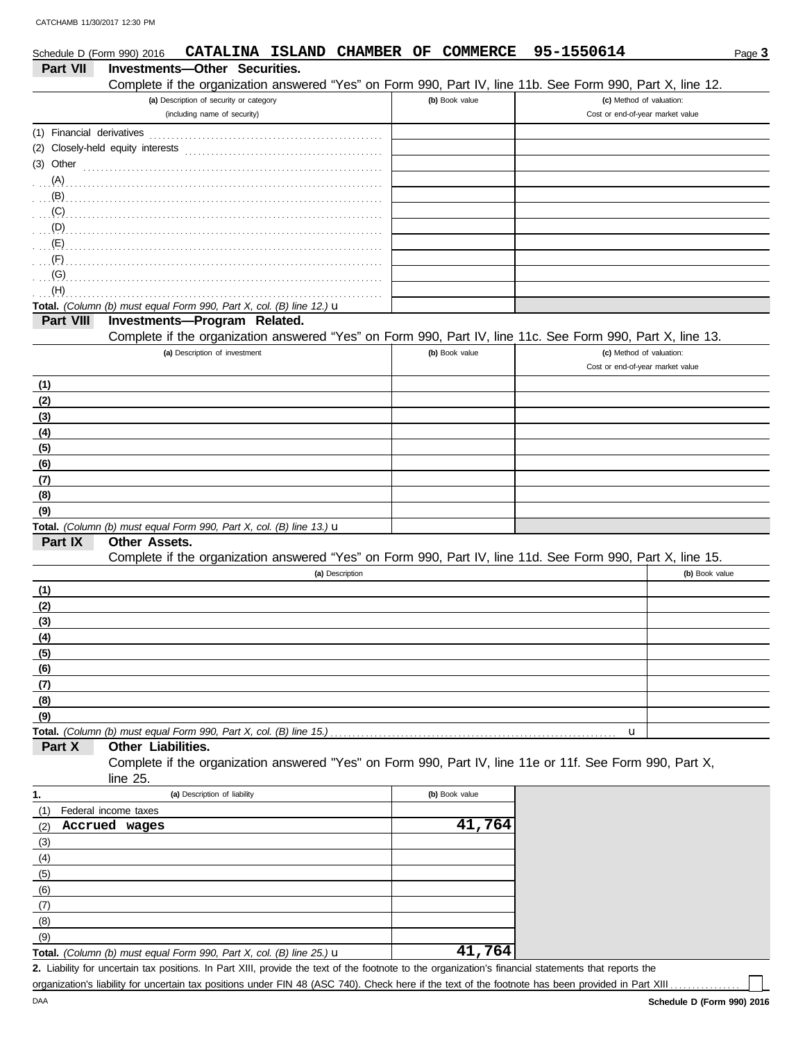| Schedule D (Form 990) 2016 | CATALINA ISLAND CHAMBER OF                                                                                              | COMMERCE       | 95-1550614                       | Page 3         |
|----------------------------|-------------------------------------------------------------------------------------------------------------------------|----------------|----------------------------------|----------------|
| <b>Part VII</b>            | Investments-Other Securities.                                                                                           |                |                                  |                |
|                            | Complete if the organization answered "Yes" on Form 990, Part IV, line 11b. See Form 990, Part X, line 12.              |                |                                  |                |
|                            | (a) Description of security or category                                                                                 | (b) Book value | (c) Method of valuation:         |                |
|                            | (including name of security)                                                                                            |                | Cost or end-of-year market value |                |
|                            |                                                                                                                         |                |                                  |                |
|                            | (2) Closely-held equity interests                                                                                       |                |                                  |                |
|                            | $(3)$ Other $\ldots$ $\ldots$ $\ldots$ $\ldots$ $\ldots$ $\ldots$ $\ldots$ $\ldots$ $\ldots$ $\ldots$ $\ldots$ $\ldots$ |                |                                  |                |
|                            |                                                                                                                         |                |                                  |                |
| $\mathbf{B}$               |                                                                                                                         |                |                                  |                |
| (C)                        |                                                                                                                         |                |                                  |                |
| (D)                        |                                                                                                                         |                |                                  |                |
| (E)                        |                                                                                                                         |                |                                  |                |
| (F)                        |                                                                                                                         |                |                                  |                |
| (G)                        |                                                                                                                         |                |                                  |                |
| (H)                        |                                                                                                                         |                |                                  |                |
|                            | Total. (Column (b) must equal Form 990, Part X, col. (B) line 12.) u                                                    |                |                                  |                |
| Part VIII                  | Investments-Program Related.                                                                                            |                |                                  |                |
|                            | Complete if the organization answered "Yes" on Form 990, Part IV, line 11c. See Form 990, Part X, line 13.              |                |                                  |                |
|                            | (a) Description of investment                                                                                           | (b) Book value | (c) Method of valuation:         |                |
|                            |                                                                                                                         |                | Cost or end-of-year market value |                |
| (1)                        |                                                                                                                         |                |                                  |                |
| (2)                        |                                                                                                                         |                |                                  |                |
| (3)                        |                                                                                                                         |                |                                  |                |
| (4)                        |                                                                                                                         |                |                                  |                |
| (5)                        |                                                                                                                         |                |                                  |                |
| (6)                        |                                                                                                                         |                |                                  |                |
| (7)                        |                                                                                                                         |                |                                  |                |
| (8)                        |                                                                                                                         |                |                                  |                |
| (9)                        |                                                                                                                         |                |                                  |                |
|                            | Total. (Column (b) must equal Form 990, Part X, col. (B) line 13.) $\mathbf u$                                          |                |                                  |                |
| Part IX                    | Other Assets.                                                                                                           |                |                                  |                |
|                            | Complete if the organization answered "Yes" on Form 990, Part IV, line 11d. See Form 990, Part X, line 15.              |                |                                  |                |
|                            | (a) Description                                                                                                         |                |                                  | (b) Book value |
| (1)                        |                                                                                                                         |                |                                  |                |
| (2)                        |                                                                                                                         |                |                                  |                |
| (3)                        |                                                                                                                         |                |                                  |                |
| (4)                        |                                                                                                                         |                |                                  |                |
| (5)                        |                                                                                                                         |                |                                  |                |
| (6)                        |                                                                                                                         |                |                                  |                |
| (7)                        |                                                                                                                         |                |                                  |                |
| (8)                        |                                                                                                                         |                |                                  |                |
| (9)                        |                                                                                                                         |                |                                  |                |
|                            | Total. (Column (b) must equal Form 990, Part X, col. (B) line 15.).                                                     |                | u                                |                |
| Part X                     | Other Liabilities.                                                                                                      |                |                                  |                |
|                            | Complete if the organization answered "Yes" on Form 990, Part IV, line 11e or 11f. See Form 990, Part X,                |                |                                  |                |
|                            | line 25.                                                                                                                |                |                                  |                |
| 1.                         | (a) Description of liability                                                                                            | (b) Book value |                                  |                |
| (1)                        | Federal income taxes                                                                                                    |                |                                  |                |
| (2)                        | Accrued wages                                                                                                           | 41,764         |                                  |                |
| (3)                        |                                                                                                                         |                |                                  |                |
| (4)                        |                                                                                                                         |                |                                  |                |
| (5)                        |                                                                                                                         |                |                                  |                |
| (6)                        |                                                                                                                         |                |                                  |                |
| (7)                        |                                                                                                                         |                |                                  |                |
| (8)                        |                                                                                                                         |                |                                  |                |
| (9)                        |                                                                                                                         |                |                                  |                |

**Total.** *(Column (b) must equal Form 990, Part X, col. (B) line 25.)* u **41,764**

Liability for uncertain tax positions. In Part XIII, provide the text of the footnote to the organization's financial statements that reports the **2.** organization's liability for uncertain tax positions under FIN 48 (ASC 740). Check here if the text of the footnote has been provided in Part XIII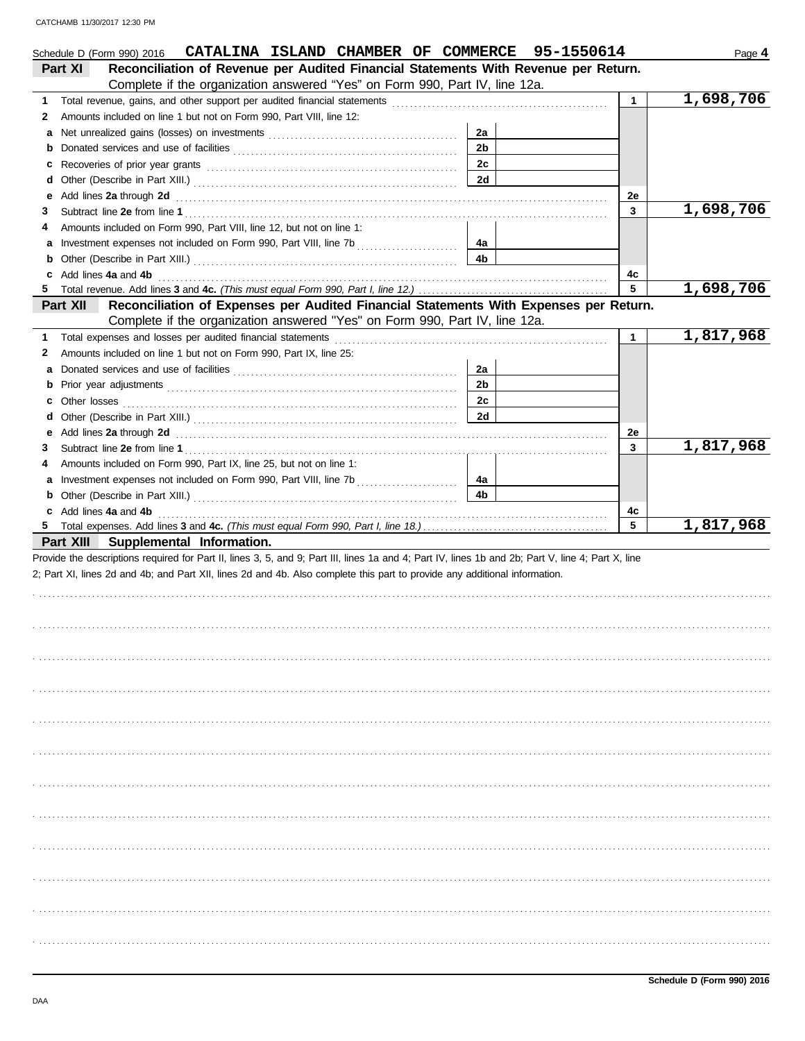|        | CATALINA ISLAND CHAMBER OF COMMERCE 95-1550614<br>Schedule D (Form 990) 2016                                                                                                                                                         |                |              | Page 4    |
|--------|--------------------------------------------------------------------------------------------------------------------------------------------------------------------------------------------------------------------------------------|----------------|--------------|-----------|
|        | Reconciliation of Revenue per Audited Financial Statements With Revenue per Return.<br><b>Part XI</b>                                                                                                                                |                |              |           |
|        | Complete if the organization answered "Yes" on Form 990, Part IV, line 12a.                                                                                                                                                          |                |              |           |
| 1      |                                                                                                                                                                                                                                      |                | $\mathbf{1}$ | 1,698,706 |
| 2      | Amounts included on line 1 but not on Form 990, Part VIII, line 12:                                                                                                                                                                  |                |              |           |
| а      |                                                                                                                                                                                                                                      | 2a             |              |           |
| b      |                                                                                                                                                                                                                                      | 2 <sub>b</sub> |              |           |
| с      |                                                                                                                                                                                                                                      | 2c             |              |           |
| d      |                                                                                                                                                                                                                                      | <b>2d</b>      |              |           |
| е      | Add lines 2a through 2d <b>contained a contained a contained a contained a contained a contained a contained a contained a contained a contained a contained a contained a contained a contained a contained a contained a conta</b> |                | 2e           |           |
| 3      |                                                                                                                                                                                                                                      |                | 3            | 1,698,706 |
| 4      | Amounts included on Form 990, Part VIII, line 12, but not on line 1:                                                                                                                                                                 |                |              |           |
| а      |                                                                                                                                                                                                                                      | 4а             |              |           |
|        |                                                                                                                                                                                                                                      | 4b             |              |           |
| 5      | c Add lines 4a and 4b                                                                                                                                                                                                                |                | 4c<br>5      | 1,698,706 |
|        | Reconciliation of Expenses per Audited Financial Statements With Expenses per Return.<br>Part XII                                                                                                                                    |                |              |           |
|        | Complete if the organization answered "Yes" on Form 990, Part IV, line 12a.                                                                                                                                                          |                |              |           |
|        | Total expenses and losses per audited financial statements                                                                                                                                                                           |                | $\mathbf 1$  | 1,817,968 |
| 1      | Amounts included on line 1 but not on Form 990, Part IX, line 25:                                                                                                                                                                    |                |              |           |
| 2<br>а |                                                                                                                                                                                                                                      | 2a             |              |           |
| b      |                                                                                                                                                                                                                                      | 2 <sub>b</sub> |              |           |
|        |                                                                                                                                                                                                                                      | 2c             |              |           |
| d      |                                                                                                                                                                                                                                      | <b>2d</b>      |              |           |
| е      | Add lines 2a through 2d [11] Additional Property and Property and Property and Property and Property and Property and Property and Property and Property and Property and Property and Property and Property and Property and        |                | 2e           |           |
| 3      |                                                                                                                                                                                                                                      |                | 3            | 1,817,968 |
| 4      | Amounts included on Form 990, Part IX, line 25, but not on line 1:                                                                                                                                                                   |                |              |           |
| а      |                                                                                                                                                                                                                                      | 4а             |              |           |
|        |                                                                                                                                                                                                                                      | 4 <sub>b</sub> |              |           |
|        | c Add lines 4a and 4b                                                                                                                                                                                                                |                | 4c           |           |
|        |                                                                                                                                                                                                                                      |                | 5            | 1,817,968 |
|        | Part XIII Supplemental Information.                                                                                                                                                                                                  |                |              |           |
|        | Provide the descriptions required for Part II, lines 3, 5, and 9; Part III, lines 1a and 4; Part IV, lines 1b and 2b; Part V, line 4; Part X, line                                                                                   |                |              |           |
|        | 2; Part XI, lines 2d and 4b; and Part XII, lines 2d and 4b. Also complete this part to provide any additional information.                                                                                                           |                |              |           |
|        |                                                                                                                                                                                                                                      |                |              |           |
|        |                                                                                                                                                                                                                                      |                |              |           |
|        |                                                                                                                                                                                                                                      |                |              |           |
|        |                                                                                                                                                                                                                                      |                |              |           |
|        |                                                                                                                                                                                                                                      |                |              |           |
|        |                                                                                                                                                                                                                                      |                |              |           |
|        |                                                                                                                                                                                                                                      |                |              |           |
|        |                                                                                                                                                                                                                                      |                |              |           |
|        |                                                                                                                                                                                                                                      |                |              |           |
|        |                                                                                                                                                                                                                                      |                |              |           |
|        |                                                                                                                                                                                                                                      |                |              |           |
|        |                                                                                                                                                                                                                                      |                |              |           |
|        |                                                                                                                                                                                                                                      |                |              |           |
|        |                                                                                                                                                                                                                                      |                |              |           |
|        |                                                                                                                                                                                                                                      |                |              |           |
|        |                                                                                                                                                                                                                                      |                |              |           |
|        |                                                                                                                                                                                                                                      |                |              |           |
|        |                                                                                                                                                                                                                                      |                |              |           |
|        |                                                                                                                                                                                                                                      |                |              |           |
|        |                                                                                                                                                                                                                                      |                |              |           |
|        |                                                                                                                                                                                                                                      |                |              |           |
|        |                                                                                                                                                                                                                                      |                |              |           |
|        |                                                                                                                                                                                                                                      |                |              |           |
|        |                                                                                                                                                                                                                                      |                |              |           |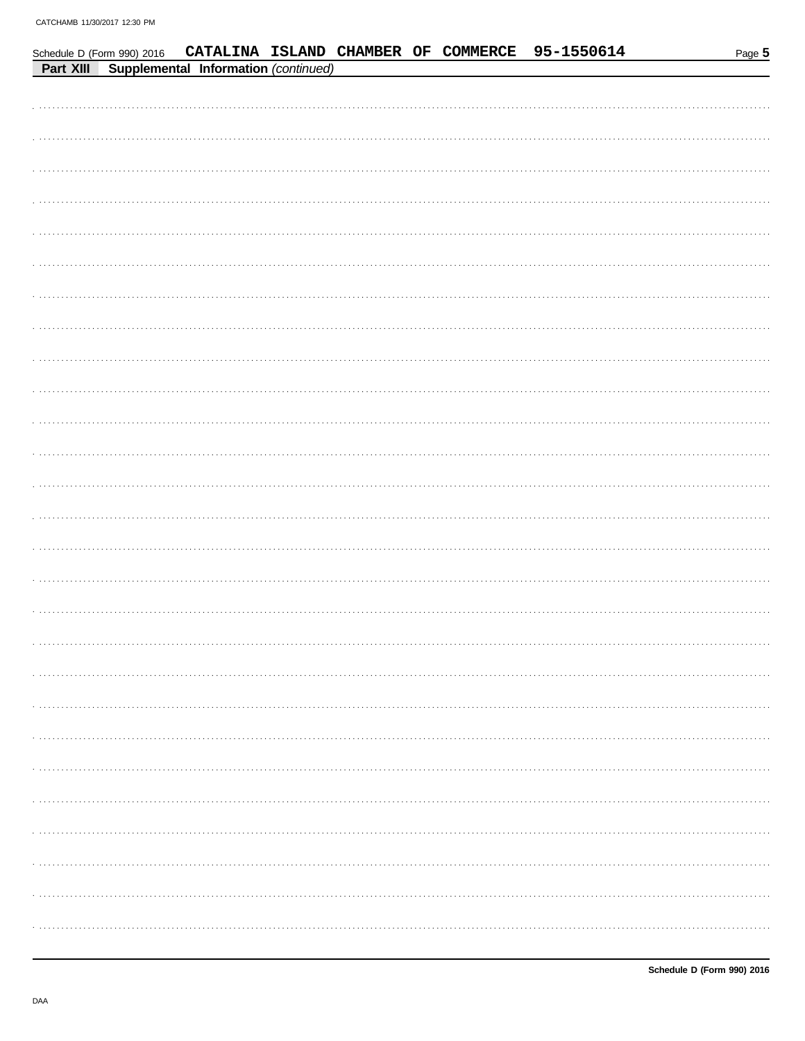|           | Schedule D (Form 990) 2016 |                                      |  |  | CATALINA ISLAND CHAMBER OF COMMERCE 95-1550614 | Page 5 |
|-----------|----------------------------|--------------------------------------|--|--|------------------------------------------------|--------|
| Part XIII |                            | Supplemental Information (continued) |  |  |                                                |        |
|           |                            |                                      |  |  |                                                |        |
|           |                            |                                      |  |  |                                                |        |
|           |                            |                                      |  |  |                                                |        |
|           |                            |                                      |  |  |                                                |        |
|           |                            |                                      |  |  |                                                |        |
|           |                            |                                      |  |  |                                                |        |
|           |                            |                                      |  |  |                                                |        |
|           |                            |                                      |  |  |                                                |        |
|           |                            |                                      |  |  |                                                |        |
|           |                            |                                      |  |  |                                                |        |
|           |                            |                                      |  |  |                                                |        |
|           |                            |                                      |  |  |                                                |        |
|           |                            |                                      |  |  |                                                |        |
|           |                            |                                      |  |  |                                                |        |
|           |                            |                                      |  |  |                                                |        |
|           |                            |                                      |  |  |                                                |        |
|           |                            |                                      |  |  |                                                |        |
|           |                            |                                      |  |  |                                                |        |
|           |                            |                                      |  |  |                                                |        |
|           |                            |                                      |  |  |                                                |        |
|           |                            |                                      |  |  |                                                |        |
|           |                            |                                      |  |  |                                                |        |
|           |                            |                                      |  |  |                                                |        |
|           |                            |                                      |  |  |                                                |        |
|           |                            |                                      |  |  |                                                |        |
|           |                            |                                      |  |  |                                                |        |
|           |                            |                                      |  |  |                                                |        |
|           |                            |                                      |  |  |                                                |        |
|           |                            |                                      |  |  |                                                |        |
|           |                            |                                      |  |  |                                                |        |
|           |                            |                                      |  |  |                                                |        |
|           |                            |                                      |  |  |                                                |        |
|           |                            |                                      |  |  |                                                |        |
|           |                            |                                      |  |  |                                                |        |
|           |                            |                                      |  |  |                                                |        |
|           |                            |                                      |  |  |                                                |        |
|           |                            |                                      |  |  |                                                |        |
|           |                            |                                      |  |  |                                                |        |
|           |                            |                                      |  |  |                                                |        |
|           |                            |                                      |  |  |                                                |        |
|           |                            |                                      |  |  |                                                |        |
|           |                            |                                      |  |  |                                                |        |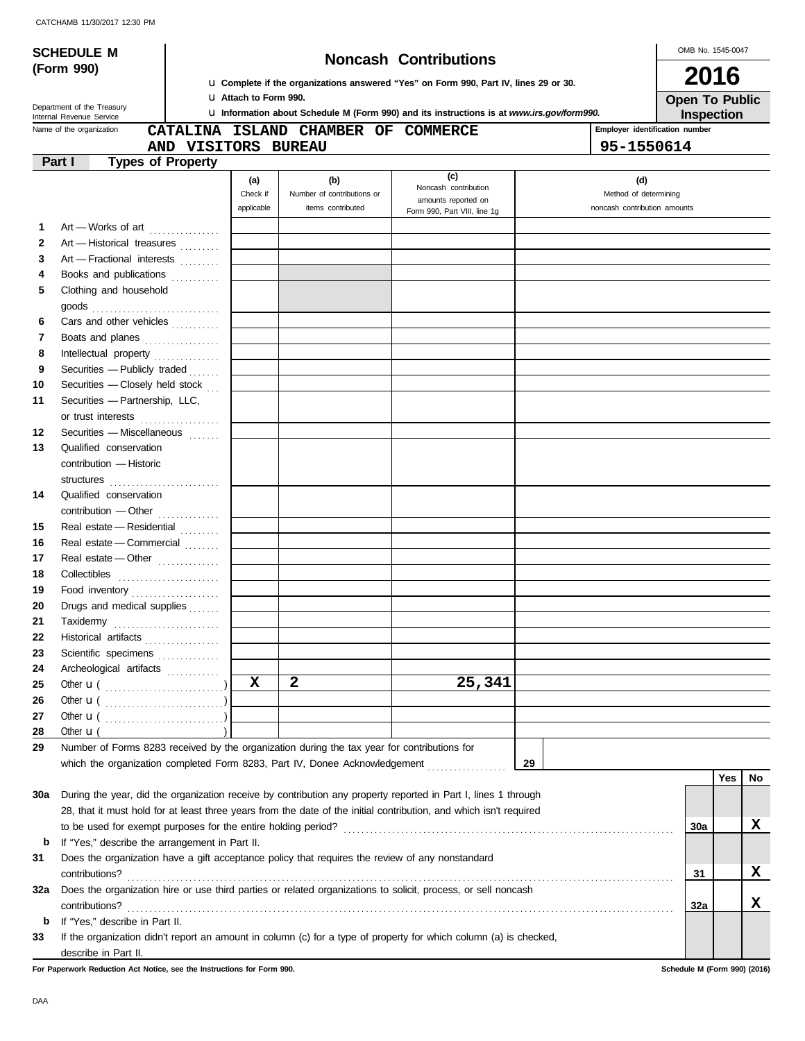|                   | <b>SCHEDULE M</b>                                                                                                  |                              |                                                                                            | <b>Noncash Contributions</b> |                                     | OMB No. 1545-0047              |     |    |
|-------------------|--------------------------------------------------------------------------------------------------------------------|------------------------------|--------------------------------------------------------------------------------------------|------------------------------|-------------------------------------|--------------------------------|-----|----|
|                   | (Form 990)                                                                                                         |                              |                                                                                            |                              |                                     |                                |     |    |
|                   |                                                                                                                    |                              | La Complete if the organizations answered "Yes" on Form 990, Part IV, lines 29 or 30.      |                              | 2016                                |                                |     |    |
|                   | Department of the Treasury                                                                                         | <b>U</b> Attach to Form 990. | La Information about Schedule M (Form 990) and its instructions is at www.irs.gov/form990. |                              | <b>Open To Public</b><br>Inspection |                                |     |    |
|                   | Internal Revenue Service<br>Name of the organization                                                               |                              |                                                                                            |                              |                                     | Employer identification number |     |    |
|                   |                                                                                                                    |                              | CATALINA ISLAND CHAMBER OF COMMERCE                                                        |                              |                                     |                                |     |    |
|                   | AND VISITORS BUREAU<br>Part I                                                                                      |                              |                                                                                            |                              |                                     | 95-1550614                     |     |    |
|                   | <b>Types of Property</b>                                                                                           |                              |                                                                                            | (c)                          |                                     |                                |     |    |
|                   |                                                                                                                    | (a)<br>Check if              | (b)<br>Number of contributions or                                                          | Noncash contribution         |                                     | (d)<br>Method of determining   |     |    |
|                   |                                                                                                                    | applicable                   | items contributed                                                                          | amounts reported on          |                                     | noncash contribution amounts   |     |    |
|                   |                                                                                                                    |                              |                                                                                            | Form 990, Part VIII, line 1g |                                     |                                |     |    |
| 1                 | Art - Works of art [11] [11] Art - Works of art                                                                    |                              |                                                                                            |                              |                                     |                                |     |    |
| $\mathbf{2}$<br>3 | Art - Historical treasures                                                                                         |                              |                                                                                            |                              |                                     |                                |     |    |
|                   | Art - Fractional interests                                                                                         |                              |                                                                                            |                              |                                     |                                |     |    |
| 4                 | Books and publications                                                                                             |                              |                                                                                            |                              |                                     |                                |     |    |
| 5                 | Clothing and household                                                                                             |                              |                                                                                            |                              |                                     |                                |     |    |
|                   |                                                                                                                    |                              |                                                                                            |                              |                                     |                                |     |    |
| 6                 | Cars and other vehicles                                                                                            |                              |                                                                                            |                              |                                     |                                |     |    |
| 7                 | Boats and planes                                                                                                   |                              |                                                                                            |                              |                                     |                                |     |    |
| 8                 | Intellectual property                                                                                              |                              |                                                                                            |                              |                                     |                                |     |    |
| 9                 | Securities - Publicly traded                                                                                       |                              |                                                                                            |                              |                                     |                                |     |    |
| 10                | Securities - Closely held stock                                                                                    |                              |                                                                                            |                              |                                     |                                |     |    |
| 11                | Securities - Partnership, LLC,                                                                                     |                              |                                                                                            |                              |                                     |                                |     |    |
|                   | or trust interests                                                                                                 |                              |                                                                                            |                              |                                     |                                |     |    |
| 12                | Securities - Miscellaneous [11]                                                                                    |                              |                                                                                            |                              |                                     |                                |     |    |
| 13                | Qualified conservation                                                                                             |                              |                                                                                            |                              |                                     |                                |     |    |
|                   | contribution - Historic                                                                                            |                              |                                                                                            |                              |                                     |                                |     |    |
|                   | structures                                                                                                         |                              |                                                                                            |                              |                                     |                                |     |    |
| 14                | Qualified conservation                                                                                             |                              |                                                                                            |                              |                                     |                                |     |    |
|                   |                                                                                                                    |                              |                                                                                            |                              |                                     |                                |     |    |
| 15                | Real estate - Residential                                                                                          |                              |                                                                                            |                              |                                     |                                |     |    |
| 16                | Real estate - Commercial                                                                                           |                              |                                                                                            |                              |                                     |                                |     |    |
| 17                | Real estate - Other                                                                                                |                              |                                                                                            |                              |                                     |                                |     |    |
| 18                |                                                                                                                    |                              |                                                                                            |                              |                                     |                                |     |    |
| 19                | Food inventory                                                                                                     |                              |                                                                                            |                              |                                     |                                |     |    |
| 20                | Drugs and medical supplies                                                                                         |                              |                                                                                            |                              |                                     |                                |     |    |
| 21                | Taxidermy                                                                                                          |                              |                                                                                            |                              |                                     |                                |     |    |
| 22                | Historical artifacts                                                                                               |                              |                                                                                            |                              |                                     |                                |     |    |
| 23                | Scientific specimens                                                                                               |                              |                                                                                            |                              |                                     |                                |     |    |
| 24                | Archeological artifacts                                                                                            |                              |                                                                                            |                              |                                     |                                |     |    |
| 25                |                                                                                                                    | $\mathbf x$                  | $\overline{2}$                                                                             | 25,341                       |                                     |                                |     |    |
|                   |                                                                                                                    |                              |                                                                                            |                              |                                     |                                |     |    |
| 26                |                                                                                                                    |                              |                                                                                            |                              |                                     |                                |     |    |
| 27                |                                                                                                                    |                              |                                                                                            |                              |                                     |                                |     |    |
| 28                | Other $\mathbf{u}$ (                                                                                               |                              |                                                                                            |                              |                                     |                                |     |    |
| 29                | Number of Forms 8283 received by the organization during the tax year for contributions for                        |                              |                                                                                            |                              |                                     |                                |     |    |
|                   | which the organization completed Form 8283, Part IV, Donee Acknowledgement                                         |                              |                                                                                            |                              | 29                                  |                                |     |    |
|                   |                                                                                                                    |                              |                                                                                            |                              |                                     |                                | Yes | No |
| 30a               | During the year, did the organization receive by contribution any property reported in Part I, lines 1 through     |                              |                                                                                            |                              |                                     |                                |     |    |
|                   | 28, that it must hold for at least three years from the date of the initial contribution, and which isn't required |                              |                                                                                            |                              |                                     |                                |     |    |
|                   |                                                                                                                    |                              |                                                                                            |                              |                                     | 30a                            |     | x  |

| b   | If "Yes," describe the arrangement in Part II.                                                                    |     |  |
|-----|-------------------------------------------------------------------------------------------------------------------|-----|--|
| 31  | Does the organization have a gift acceptance policy that requires the review of any nonstandard                   |     |  |
|     | contributions?                                                                                                    | 31  |  |
| 32a | Does the organization hire or use third parties or related organizations to solicit, process, or sell noncash     |     |  |
|     | contributions?                                                                                                    | 32a |  |
| b   | If "Yes," describe in Part II.                                                                                    |     |  |
| 33  | If the organization didn't report an amount in column (c) for a type of property for which column (a) is checked, |     |  |
|     | describe in Part II.                                                                                              |     |  |

**For Paperwork Reduction Act Notice, see the Instructions for Form 990. Schedule M (Form 990) (2016)**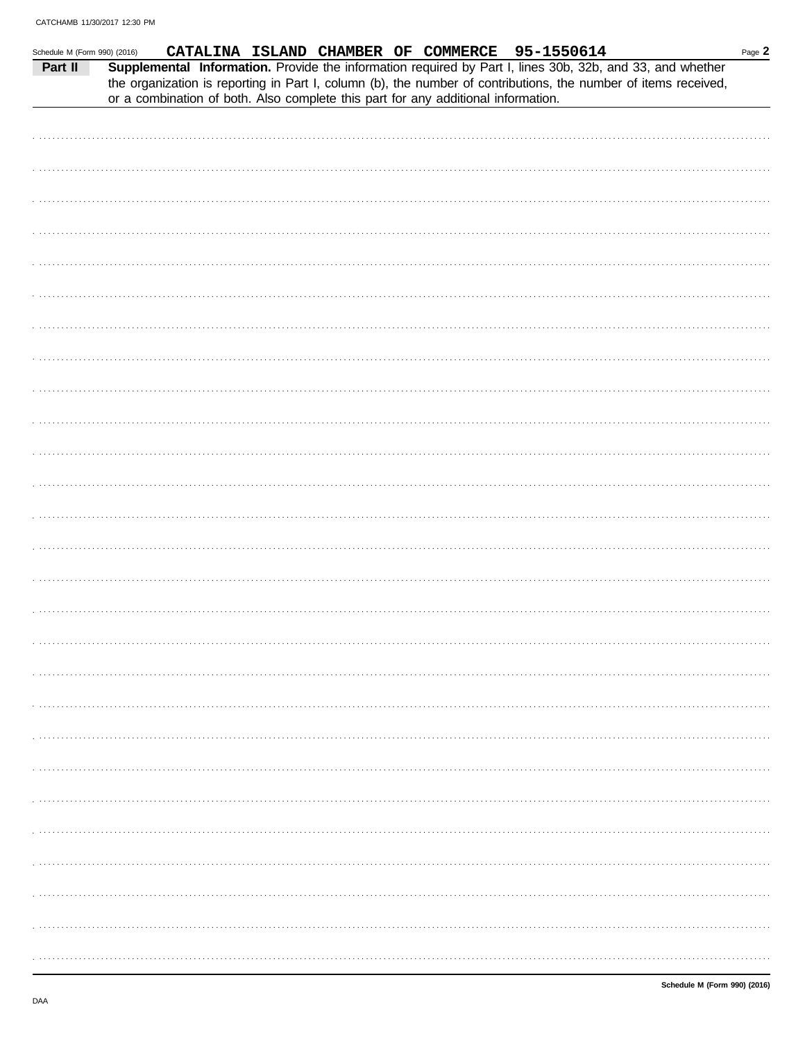| Schedule M (Form 990) (2016) |  |  |  |  | CATALINA ISLAND CHAMBER OF COMMERCE 95-1550614                                                                                                                                                                                                                                                                    |  | Page 2 |
|------------------------------|--|--|--|--|-------------------------------------------------------------------------------------------------------------------------------------------------------------------------------------------------------------------------------------------------------------------------------------------------------------------|--|--------|
| Part II                      |  |  |  |  | Supplemental Information. Provide the information required by Part I, lines 30b, 32b, and 33, and whether<br>the organization is reporting in Part I, column (b), the number of contributions, the number of items received,<br>or a combination of both. Also complete this part for any additional information. |  |        |
|                              |  |  |  |  |                                                                                                                                                                                                                                                                                                                   |  |        |
|                              |  |  |  |  |                                                                                                                                                                                                                                                                                                                   |  |        |
|                              |  |  |  |  |                                                                                                                                                                                                                                                                                                                   |  |        |
|                              |  |  |  |  |                                                                                                                                                                                                                                                                                                                   |  |        |
|                              |  |  |  |  |                                                                                                                                                                                                                                                                                                                   |  |        |
|                              |  |  |  |  |                                                                                                                                                                                                                                                                                                                   |  |        |
|                              |  |  |  |  |                                                                                                                                                                                                                                                                                                                   |  |        |
|                              |  |  |  |  |                                                                                                                                                                                                                                                                                                                   |  |        |
|                              |  |  |  |  |                                                                                                                                                                                                                                                                                                                   |  |        |
|                              |  |  |  |  |                                                                                                                                                                                                                                                                                                                   |  |        |
|                              |  |  |  |  |                                                                                                                                                                                                                                                                                                                   |  |        |
|                              |  |  |  |  |                                                                                                                                                                                                                                                                                                                   |  |        |
|                              |  |  |  |  |                                                                                                                                                                                                                                                                                                                   |  |        |
|                              |  |  |  |  |                                                                                                                                                                                                                                                                                                                   |  |        |
|                              |  |  |  |  |                                                                                                                                                                                                                                                                                                                   |  |        |
|                              |  |  |  |  |                                                                                                                                                                                                                                                                                                                   |  |        |
|                              |  |  |  |  |                                                                                                                                                                                                                                                                                                                   |  |        |
|                              |  |  |  |  |                                                                                                                                                                                                                                                                                                                   |  |        |
|                              |  |  |  |  |                                                                                                                                                                                                                                                                                                                   |  |        |
|                              |  |  |  |  |                                                                                                                                                                                                                                                                                                                   |  |        |
|                              |  |  |  |  |                                                                                                                                                                                                                                                                                                                   |  |        |
|                              |  |  |  |  |                                                                                                                                                                                                                                                                                                                   |  |        |
|                              |  |  |  |  |                                                                                                                                                                                                                                                                                                                   |  |        |
|                              |  |  |  |  |                                                                                                                                                                                                                                                                                                                   |  |        |
|                              |  |  |  |  |                                                                                                                                                                                                                                                                                                                   |  |        |
|                              |  |  |  |  |                                                                                                                                                                                                                                                                                                                   |  |        |
|                              |  |  |  |  |                                                                                                                                                                                                                                                                                                                   |  |        |